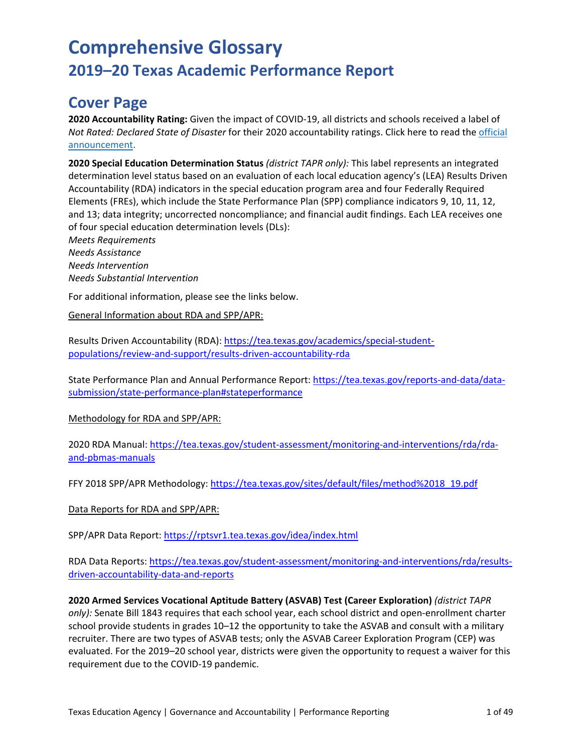## **Cover Page**

**2020 Accountability Rating:** Given the impact of COVID-19, all districts and schools received a label of *Not Rated: Declared State of Disaster* for their 2020 accountability ratings. Click here to read the [official](https://tea.texas.gov/about-tea/news-and-multimedia/correspondence/taa-letters/every-student-succeeds-act-essa-waiver-approval-2020-state-academic-accountability) [announcement.](https://tea.texas.gov/about-tea/news-and-multimedia/correspondence/taa-letters/every-student-succeeds-act-essa-waiver-approval-2020-state-academic-accountability)

**2020 Special Education Determination Status** *(district TAPR only):* This label represents an integrated determination level status based on an evaluation of each local education agency's (LEA) Results Driven Accountability (RDA) indicators in the special education program area and four Federally Required Elements (FREs), which include the State Performance Plan (SPP) compliance indicators 9, 10, 11, 12, and 13; data integrity; uncorrected noncompliance; and financial audit findings. Each LEA receives one of four special education determination levels (DLs):

*Meets Requirements Needs Assistance Needs Intervention Needs Substantial Intervention*

For additional information, please see the links below.

General Information about RDA and SPP/APR:

Results Driven Accountability (RDA): [https://tea.texas.gov/academics/special-student](https://nam10.safelinks.protection.outlook.com/?url=https%3A%2F%2Ftea.texas.gov%2Facademics%2Fspecial-student-populations%2Freview-and-support%2Fresults-driven-accountability-rda&data=04%7C01%7CLeslie.Brady%40tea.texas.gov%7C67fd9f7ef11344f17daa08d8880cd1f0%7C65d6b3c3723648189613248dbd713a6f%7C0%7C0%7C637408935925082362%7CUnknown%7CTWFpbGZsb3d8eyJWIjoiMC4wLjAwMDAiLCJQIjoiV2luMzIiLCJBTiI6Ik1haWwiLCJXVCI6Mn0%3D%7C1000&sdata=q7rr45VDvQzYSHc%2FEFXYHwOsy8U9alN20b7DJ7GBUv4%3D&reserved=0)[populations/review-and-support/results-driven-accountability-rda](https://nam10.safelinks.protection.outlook.com/?url=https%3A%2F%2Ftea.texas.gov%2Facademics%2Fspecial-student-populations%2Freview-and-support%2Fresults-driven-accountability-rda&data=04%7C01%7CLeslie.Brady%40tea.texas.gov%7C67fd9f7ef11344f17daa08d8880cd1f0%7C65d6b3c3723648189613248dbd713a6f%7C0%7C0%7C637408935925082362%7CUnknown%7CTWFpbGZsb3d8eyJWIjoiMC4wLjAwMDAiLCJQIjoiV2luMzIiLCJBTiI6Ik1haWwiLCJXVCI6Mn0%3D%7C1000&sdata=q7rr45VDvQzYSHc%2FEFXYHwOsy8U9alN20b7DJ7GBUv4%3D&reserved=0)

State Performance Plan and Annual Performance Report: [https://tea.texas.gov/reports-and-data/data](https://nam10.safelinks.protection.outlook.com/?url=https%3A%2F%2Ftea.texas.gov%2Freports-and-data%2Fdata-submission%2Fstate-performance-plan%23stateperformance&data=04%7C01%7CLeslie.Brady%40tea.texas.gov%7C67fd9f7ef11344f17daa08d8880cd1f0%7C65d6b3c3723648189613248dbd713a6f%7C0%7C0%7C637408935925082362%7CUnknown%7CTWFpbGZsb3d8eyJWIjoiMC4wLjAwMDAiLCJQIjoiV2luMzIiLCJBTiI6Ik1haWwiLCJXVCI6Mn0%3D%7C1000&sdata=CyGhIMgyhBWCgihtVmfx73ASuMNlocfKUjPu7PaMq%2F4%3D&reserved=0)[submission/state-performance-plan#stateperformance](https://nam10.safelinks.protection.outlook.com/?url=https%3A%2F%2Ftea.texas.gov%2Freports-and-data%2Fdata-submission%2Fstate-performance-plan%23stateperformance&data=04%7C01%7CLeslie.Brady%40tea.texas.gov%7C67fd9f7ef11344f17daa08d8880cd1f0%7C65d6b3c3723648189613248dbd713a6f%7C0%7C0%7C637408935925082362%7CUnknown%7CTWFpbGZsb3d8eyJWIjoiMC4wLjAwMDAiLCJQIjoiV2luMzIiLCJBTiI6Ik1haWwiLCJXVCI6Mn0%3D%7C1000&sdata=CyGhIMgyhBWCgihtVmfx73ASuMNlocfKUjPu7PaMq%2F4%3D&reserved=0)

Methodology for RDA and SPP/APR:

2020 RDA Manual: [https://tea.texas.gov/student-assessment/monitoring-and-interventions/rda/rda](https://nam10.safelinks.protection.outlook.com/?url=https%3A%2F%2Ftea.texas.gov%2Fstudent-assessment%2Fmonitoring-and-interventions%2Frda%2Frda-and-pbmas-manuals&data=04%7C01%7CLeslie.Brady%40tea.texas.gov%7C67fd9f7ef11344f17daa08d8880cd1f0%7C65d6b3c3723648189613248dbd713a6f%7C0%7C0%7C637408935925082362%7CUnknown%7CTWFpbGZsb3d8eyJWIjoiMC4wLjAwMDAiLCJQIjoiV2luMzIiLCJBTiI6Ik1haWwiLCJXVCI6Mn0%3D%7C1000&sdata=lAJy%2Bnt3%2Fsw62%2FZPUjrqoKnh5eZHqSvlgU8ybNZYtpA%3D&reserved=0)[and-pbmas-manuals](https://nam10.safelinks.protection.outlook.com/?url=https%3A%2F%2Ftea.texas.gov%2Fstudent-assessment%2Fmonitoring-and-interventions%2Frda%2Frda-and-pbmas-manuals&data=04%7C01%7CLeslie.Brady%40tea.texas.gov%7C67fd9f7ef11344f17daa08d8880cd1f0%7C65d6b3c3723648189613248dbd713a6f%7C0%7C0%7C637408935925082362%7CUnknown%7CTWFpbGZsb3d8eyJWIjoiMC4wLjAwMDAiLCJQIjoiV2luMzIiLCJBTiI6Ik1haWwiLCJXVCI6Mn0%3D%7C1000&sdata=lAJy%2Bnt3%2Fsw62%2FZPUjrqoKnh5eZHqSvlgU8ybNZYtpA%3D&reserved=0) 

FFY 2018 SPP/APR Methodology[: https://tea.texas.gov/sites/default/files/method%2018\\_19.pdf](https://nam10.safelinks.protection.outlook.com/?url=https%3A%2F%2Ftea.texas.gov%2Fsites%2Fdefault%2Ffiles%2Fmethod%252018_19.pdf&data=04%7C01%7CLeslie.Brady%40tea.texas.gov%7C67fd9f7ef11344f17daa08d8880cd1f0%7C65d6b3c3723648189613248dbd713a6f%7C0%7C0%7C637408935925092327%7CUnknown%7CTWFpbGZsb3d8eyJWIjoiMC4wLjAwMDAiLCJQIjoiV2luMzIiLCJBTiI6Ik1haWwiLCJXVCI6Mn0%3D%7C1000&sdata=DcSa7E2LwQYj0Rl2BVS32%2FMYwa38thNitkX6q07qoWI%3D&reserved=0)

Data Reports for RDA and SPP/APR:

SPP/APR Data Report[: https://rptsvr1.tea.texas.gov/idea/index.html](https://nam10.safelinks.protection.outlook.com/?url=https%3A%2F%2Frptsvr1.tea.texas.gov%2Fidea%2Findex.html&data=04%7C01%7CLeslie.Brady%40tea.texas.gov%7C67fd9f7ef11344f17daa08d8880cd1f0%7C65d6b3c3723648189613248dbd713a6f%7C0%7C0%7C637408935925092327%7CUnknown%7CTWFpbGZsb3d8eyJWIjoiMC4wLjAwMDAiLCJQIjoiV2luMzIiLCJBTiI6Ik1haWwiLCJXVCI6Mn0%3D%7C1000&sdata=2rEuIT5fFl9IufJg%2BfQskOzKLTkw7%2BD2FJ4673bh7J4%3D&reserved=0) 

RDA Data Reports: [https://tea.texas.gov/student-assessment/monitoring-and-interventions/rda/results](https://nam10.safelinks.protection.outlook.com/?url=https%3A%2F%2Ftea.texas.gov%2Fstudent-assessment%2Fmonitoring-and-interventions%2Frda%2Fresults-driven-accountability-data-and-reports&data=04%7C01%7CLeslie.Brady%40tea.texas.gov%7C67fd9f7ef11344f17daa08d8880cd1f0%7C65d6b3c3723648189613248dbd713a6f%7C0%7C0%7C637408935925102283%7CUnknown%7CTWFpbGZsb3d8eyJWIjoiMC4wLjAwMDAiLCJQIjoiV2luMzIiLCJBTiI6Ik1haWwiLCJXVCI6Mn0%3D%7C1000&sdata=hY4E77MkGSsu8e0ThzeW%2Fp%2BeuPmVrbVe5m4OmJ5j7%2Fo%3D&reserved=0)[driven-accountability-data-and-reports](https://nam10.safelinks.protection.outlook.com/?url=https%3A%2F%2Ftea.texas.gov%2Fstudent-assessment%2Fmonitoring-and-interventions%2Frda%2Fresults-driven-accountability-data-and-reports&data=04%7C01%7CLeslie.Brady%40tea.texas.gov%7C67fd9f7ef11344f17daa08d8880cd1f0%7C65d6b3c3723648189613248dbd713a6f%7C0%7C0%7C637408935925102283%7CUnknown%7CTWFpbGZsb3d8eyJWIjoiMC4wLjAwMDAiLCJQIjoiV2luMzIiLCJBTiI6Ik1haWwiLCJXVCI6Mn0%3D%7C1000&sdata=hY4E77MkGSsu8e0ThzeW%2Fp%2BeuPmVrbVe5m4OmJ5j7%2Fo%3D&reserved=0)

**2020 Armed Services Vocational Aptitude Battery (ASVAB) Test (Career Exploration)** *(district TAPR only):* Senate Bill 1843 requires that each school year, each school district and open-enrollment charter school provide students in grades 10–12 the opportunity to take the ASVAB and consult with a military recruiter. There are two types of ASVAB tests; only the ASVAB Career Exploration Program (CEP) was evaluated. For the 2019–20 school year, districts were given the opportunity to request a waiver for this requirement due to the COVID-19 pandemic.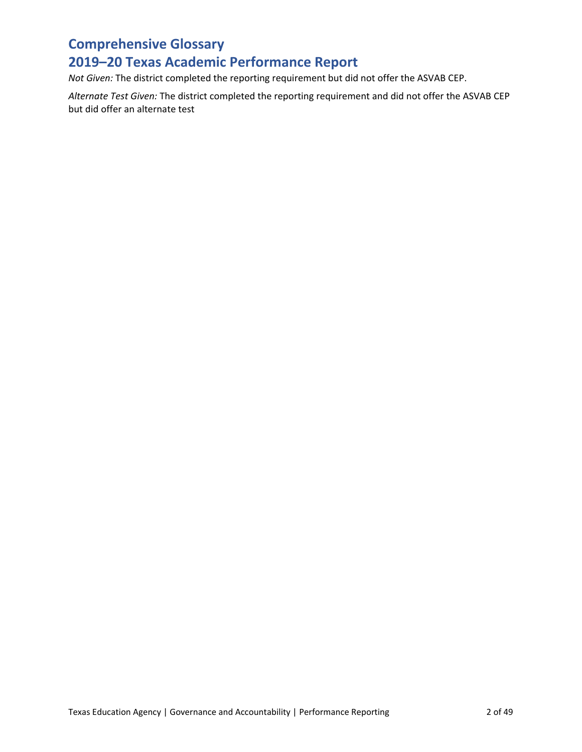## **2019–20 Texas Academic Performance Report**

*Not Given:* The district completed the reporting requirement but did not offer the ASVAB CEP.

*Alternate Test Given:* The district completed the reporting requirement and did not offer the ASVAB CEP but did offer an alternate test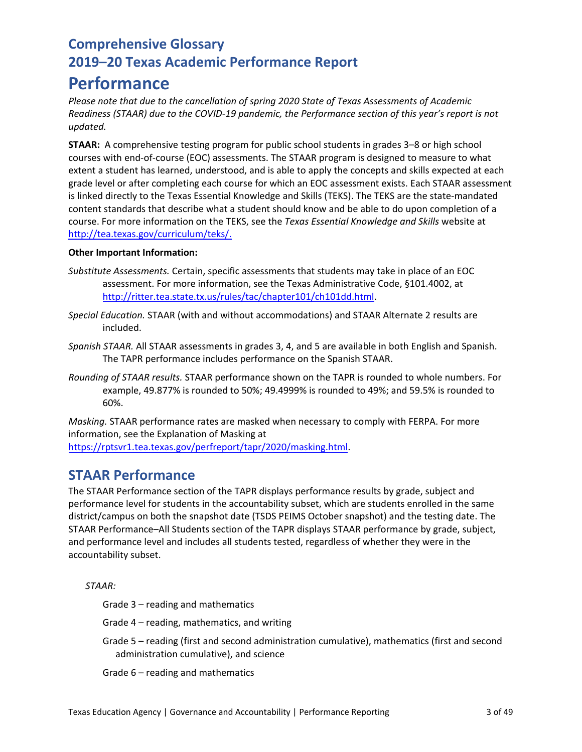## **Performance**

*Please note that due to the cancellation of spring 2020 State of Texas Assessments of Academic Readiness (STAAR) due to the COVID-19 pandemic, the Performance section of this year's report is not updated.*

**STAAR:** A comprehensive testing program for public school students in grades 3–8 or high school courses with end-of-course (EOC) assessments. The STAAR program is designed to measure to what extent a student has learned, understood, and is able to apply the concepts and skills expected at each grade level or after completing each course for which an EOC assessment exists. Each STAAR assessment is linked directly to the Texas Essential Knowledge and Skills (TEKS). The TEKS are the state-mandated content standards that describe what a student should know and be able to do upon completion of a course. For more information on the TEKS, see the *Texas Essential Knowledge and Skills* website at [http://tea.texas.gov/curriculum/teks/.](http://tea.texas.gov/curriculum/teks/)

### **Other Important Information:**

- *Substitute Assessments.* Certain, specific assessments that students may take in place of an EOC assessment. For more information, see the Texas Administrative Code, §101.4002, at [http://ritter.tea.state.tx.us/rules/tac/chapter101/ch101dd.html.](http://ritter.tea.state.tx.us/rules/tac/chapter101/ch101dd.html)
- *Special Education.* STAAR (with and without accommodations) and STAAR Alternate 2 results are included.
- *Spanish STAAR.* All STAAR assessments in grades 3, 4, and 5 are available in both English and Spanish. The TAPR performance includes performance on the Spanish STAAR.
- *Rounding of STAAR results.* STAAR performance shown on the TAPR is rounded to whole numbers. For example, 49.877% is rounded to 50%; 49.4999% is rounded to 49%; and 59.5% is rounded to 60%.

*Masking.* STAAR performance rates are masked when necessary to comply with FERPA. For more information, see the Explanation of Masking at [https://rptsvr1.tea.texas.gov/perfreport/](https://rptsvr1.tea.texas.gov/perfreport/tapr/2020/masking.html)tapr/2020/masking.html.

### **STAAR Performance**

The STAAR Performance section of the TAPR displays performance results by grade, subject and performance level for students in the accountability subset, which are students enrolled in the same district/campus on both the snapshot date (TSDS PEIMS October snapshot) and the testing date. The STAAR Performance–All Students section of the TAPR displays STAAR performance by grade, subject, and performance level and includes all students tested, regardless of whether they were in the accountability subset.

*STAAR:*

Grade 3 – reading and mathematics

Grade 4 – reading, mathematics, and writing

Grade 5 – reading (first and second administration cumulative), mathematics (first and second administration cumulative), and science

Grade 6 – reading and mathematics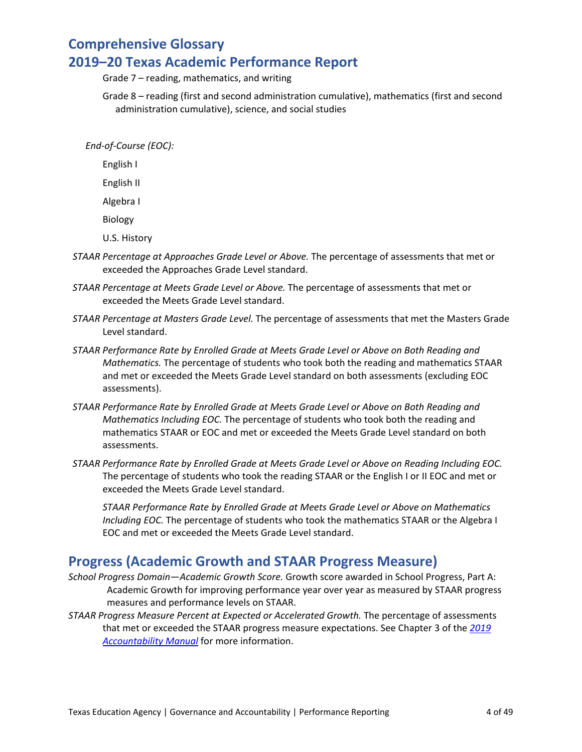Grade 7 – reading, mathematics, and writing

Grade 8 – reading (first and second administration cumulative), mathematics (first and second administration cumulative), science, and social studies

*End-of-Course (EOC):*

English I

English II

Algebra I

Biology

U.S. History

- *STAAR Percentage at Approaches Grade Level or Above.* The percentage of assessments that met or exceeded the Approaches Grade Level standard.
- *STAAR Percentage at Meets Grade Level or Above.* The percentage of assessments that met or exceeded the Meets Grade Level standard.
- *STAAR Percentage at Masters Grade Level.* The percentage of assessments that met the Masters Grade Level standard.
- *STAAR Performance Rate by Enrolled Grade at Meets Grade Level or Above on Both Reading and Mathematics.* The percentage of students who took both the reading and mathematics STAAR and met or exceeded the Meets Grade Level standard on both assessments (excluding EOC assessments).
- *STAAR Performance Rate by Enrolled Grade at Meets Grade Level or Above on Both Reading and Mathematics Including EOC.* The percentage of students who took both the reading and mathematics STAAR or EOC and met or exceeded the Meets Grade Level standard on both assessments.
- *STAAR Performance Rate by Enrolled Grade at Meets Grade Level or Above on Reading Including EOC.*  The percentage of students who took the reading STAAR or the English I or II EOC and met or exceeded the Meets Grade Level standard.

*STAAR Performance Rate by Enrolled Grade at Meets Grade Level or Above on Mathematics Including EOC.* The percentage of students who took the mathematics STAAR or the Algebra I EOC and met or exceeded the Meets Grade Level standard.

### **Progress (Academic Growth and STAAR Progress Measure)**

- *School Progress Domain—Academic Growth Score.* Growth score awarded in School Progress, Part A: Academic Growth for improving performance year over year as measured by STAAR progress measures and performance levels on STAAR.
- *STAAR Progress Measure Percent at Expected or Accelerated Growth.* The percentage of assessments that met or exceeded the STAAR progress measure expectations. See Chapter 3 of the *[2019](https://tea.texas.gov/2019accountabilitymanual.aspx)  [Accountability Manual](https://tea.texas.gov/2019accountabilitymanual.aspx)* for more information.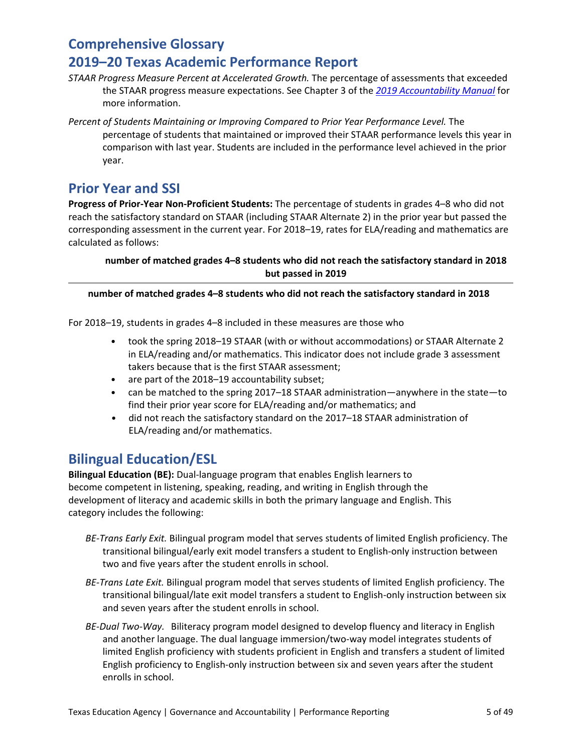- *STAAR Progress Measure Percent at Accelerated Growth.* The percentage of assessments that exceeded the STAAR progress measure expectations. See Chapter 3 of the *[2019 Accountability Manual](https://tea.texas.gov/2019accountabilitymanual.aspx)* for more information.
- Percent of Students Maintaining or Improving Compared to Prior Year Performance Level. The percentage of students that maintained or improved their STAAR performance levels this year in comparison with last year. Students are included in the performance level achieved in the prior year.

### **Prior Year and SSI**

**Progress of Prior-Year Non-Proficient Students:** The percentage of students in grades 4–8 who did not reach the satisfactory standard on STAAR (including STAAR Alternate 2) in the prior year but passed the corresponding assessment in the current year. For 2018–19, rates for ELA/reading and mathematics are calculated as follows:

### **number of matched grades 4–8 students who did not reach the satisfactory standard in 2018 but passed in 2019**

### **number of matched grades 4–8 students who did not reach the satisfactory standard in 2018**

For 2018–19, students in grades 4–8 included in these measures are those who

- took the spring 2018–19 STAAR (with or without accommodations) or STAAR Alternate 2 in ELA/reading and/or mathematics. This indicator does not include grade 3 assessment takers because that is the first STAAR assessment;
- are part of the 2018–19 accountability subset;
- can be matched to the spring 2017–18 STAAR administration—anywhere in the state—to find their prior year score for ELA/reading and/or mathematics; and
- did not reach the satisfactory standard on the 2017–18 STAAR administration of ELA/reading and/or mathematics.

### **Bilingual Education/ESL**

**Bilingual Education (BE):** Dual-language program that enables English learners to become competent in listening, speaking, reading, and writing in English through the development of literacy and academic skills in both the primary language and English. This category includes the following:

- *BE-Trans Early Exit.* Bilingual program model that serves students of limited English proficiency. The transitional bilingual/early exit model transfers a student to English-only instruction between two and five years after the student enrolls in school.
- *BE-Trans Late Exit.* Bilingual program model that serves students of limited English proficiency. The transitional bilingual/late exit model transfers a student to English-only instruction between six and seven years after the student enrolls in school.
- *BE-Dual Two-Way.* Biliteracy program model designed to develop fluency and literacy in English and another language. The dual language immersion/two-way model integrates students of limited English proficiency with students proficient in English and transfers a student of limited English proficiency to English-only instruction between six and seven years after the student enrolls in school.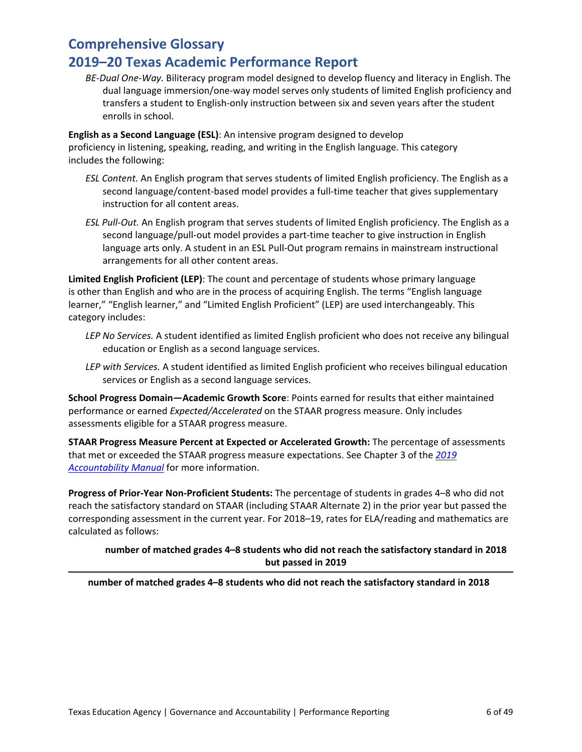*BE-Dual One-Way.* Biliteracy program model designed to develop fluency and literacy in English. The dual language immersion/one-way model serves only students of limited English proficiency and transfers a student to English-only instruction between six and seven years after the student enrolls in school.

**English as a Second Language (ESL)**: An intensive program designed to develop proficiency in listening, speaking, reading, and writing in the English language. This category includes the following:

- *ESL Content.* An English program that serves students of limited English proficiency. The English as a second language/content-based model provides a full-time teacher that gives supplementary instruction for all content areas.
- *ESL Pull-Out.* An English program that serves students of limited English proficiency. The English as a second language/pull-out model provides a part-time teacher to give instruction in English language arts only. A student in an ESL Pull-Out program remains in mainstream instructional arrangements for all other content areas.

**Limited English Proficient (LEP)**: The count and percentage of students whose primary language is other than English and who are in the process of acquiring English. The terms "English language learner," "English learner," and "Limited English Proficient" (LEP) are used interchangeably. This category includes:

- *LEP No Services.* A student identified as limited English proficient who does not receive any bilingual education or English as a second language services.
- *LEP with Services.* A student identified as limited English proficient who receives bilingual education services or English as a second language services.

**School Progress Domain—Academic Growth Score**: Points earned for results that either maintained performance or earned *Expected/Accelerated* on the STAAR progress measure. Only includes assessments eligible for a STAAR progress measure.

**STAAR Progress Measure Percent at Expected or Accelerated Growth:** The percentage of assessments that met or exceeded the STAAR progress measure expectations. See Chapter 3 of the *[2019](https://tea.texas.gov/Student_Testing_and_Accountability/Accountability/State_Accountability/Performance_Reporting/2019_Accountability_Manual)  [Accountability Manual](https://tea.texas.gov/Student_Testing_and_Accountability/Accountability/State_Accountability/Performance_Reporting/2019_Accountability_Manual)* for more information.

**Progress of Prior-Year Non-Proficient Students:** The percentage of students in grades 4–8 who did not reach the satisfactory standard on STAAR (including STAAR Alternate 2) in the prior year but passed the corresponding assessment in the current year. For 2018–19, rates for ELA/reading and mathematics are calculated as follows:

### **number of matched grades 4–8 students who did not reach the satisfactory standard in 2018 but passed in 2019**

**number of matched grades 4–8 students who did not reach the satisfactory standard in 2018**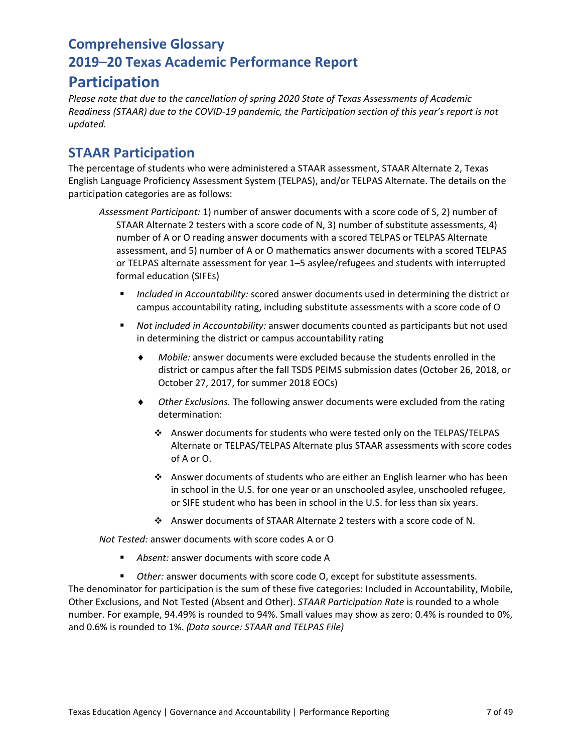### **Participation**

*Please note that due to the cancellation of spring 2020 State of Texas Assessments of Academic Readiness (STAAR) due to the COVID-19 pandemic, the Participation section of this year's report is not updated.*

### **STAAR Participation**

The percentage of students who were administered a STAAR assessment, STAAR Alternate 2, Texas English Language Proficiency Assessment System (TELPAS), and/or TELPAS Alternate. The details on the participation categories are as follows:

- *Assessment Participant:* 1) number of answer documents with a score code of S, 2) number of STAAR Alternate 2 testers with a score code of N, 3) number of substitute assessments, 4) number of A or O reading answer documents with a scored TELPAS or TELPAS Alternate assessment, and 5) number of A or O mathematics answer documents with a scored TELPAS or TELPAS alternate assessment for year 1–5 asylee/refugees and students with interrupted formal education (SIFEs)
	- *Included in Accountability:* scored answer documents used in determining the district or campus accountability rating, including substitute assessments with a score code of O
	- *Not included in Accountability:* answer documents counted as participants but not used in determining the district or campus accountability rating
		- ♦ *Mobile:* answer documents were excluded because the students enrolled in the district or campus after the fall TSDS PEIMS submission dates (October 26, 2018, or October 27, 2017, for summer 2018 EOCs)
		- ♦ *Other Exclusions.* The following answer documents were excluded from the rating determination:
			- Answer documents for students who were tested only on the TELPAS/TELPAS Alternate or TELPAS/TELPAS Alternate plus STAAR assessments with score codes of A or O.
			- Answer documents of students who are either an English learner who has been in school in the U.S. for one year or an unschooled asylee, unschooled refugee, or SIFE student who has been in school in the U.S. for less than six years.
			- Answer documents of STAAR Alternate 2 testers with a score code of N.

*Not Tested:* answer documents with score codes A or O

- *Absent:* answer documents with score code A
- *Other:* answer documents with score code O, except for substitute assessments.

The denominator for participation is the sum of these five categories: Included in Accountability, Mobile, Other Exclusions, and Not Tested (Absent and Other). *STAAR Participation Rate* is rounded to a whole number. For example, 94.49% is rounded to 94%. Small values may show as zero: 0.4% is rounded to 0%, and 0.6% is rounded to 1%. *(Data source: STAAR and TELPAS File)*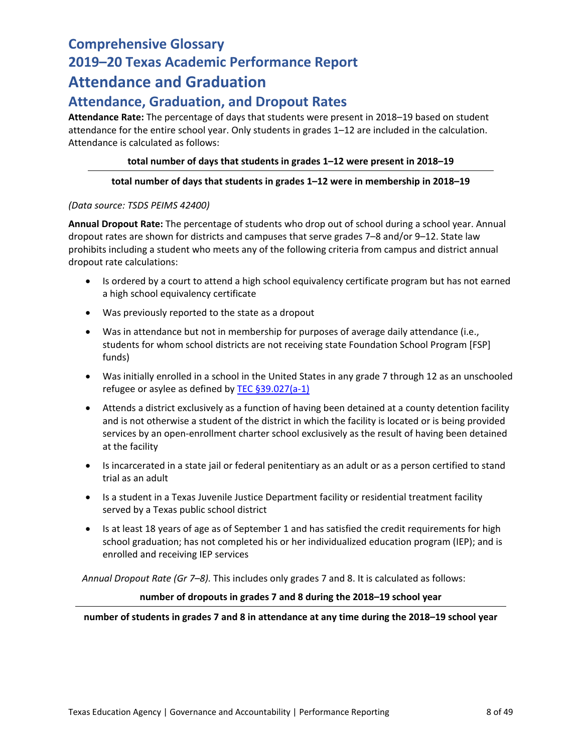## **Comprehensive Glossary 2019–20 Texas Academic Performance Report Attendance and Graduation**

### **Attendance, Graduation, and Dropout Rates**

**Attendance Rate:** The percentage of days that students were present in 2018–19 based on student attendance for the entire school year. Only students in grades 1–12 are included in the calculation. Attendance is calculated as follows:

### **total number of days that students in grades 1–12 were present in 2018–19**

### **total number of days that students in grades 1–12 were in membership in 2018–19**

### *(Data source: TSDS PEIMS 42400)*

**Annual Dropout Rate:** The percentage of students who drop out of school during a school year. Annual dropout rates are shown for districts and campuses that serve grades 7–8 and/or 9–12. State law prohibits including a student who meets any of the following criteria from campus and district annual dropout rate calculations:

- Is ordered by a court to attend a high school equivalency certificate program but has not earned a high school equivalency certificate
- Was previously reported to the state as a dropout
- Was in attendance but not in membership for purposes of average daily attendance (i.e., students for whom school districts are not receiving state Foundation School Program [FSP] funds)
- Was initially enrolled in a school in the United States in any grade 7 through 12 as an unschooled refugee or asylee as defined b[y TEC §39.027\(a-1\)](http://www.statutes.legis.state.tx.us/Docs/ED/htm/ED.39.htm#39.027)
- Attends a district exclusively as a function of having been detained at a county detention facility and is not otherwise a student of the district in which the facility is located or is being provided services by an open-enrollment charter school exclusively as the result of having been detained at the facility
- Is incarcerated in a state jail or federal penitentiary as an adult or as a person certified to stand trial as an adult
- Is a student in a Texas Juvenile Justice Department facility or residential treatment facility served by a Texas public school district
- Is at least 18 years of age as of September 1 and has satisfied the credit requirements for high school graduation; has not completed his or her individualized education program (IEP); and is enrolled and receiving IEP services

*Annual Dropout Rate (Gr 7–8).* This includes only grades 7 and 8. It is calculated as follows:

#### **number of dropouts in grades 7 and 8 during the 2018–19 school year**

**number of students in grades 7 and 8 in attendance at any time during the 2018–19 school year**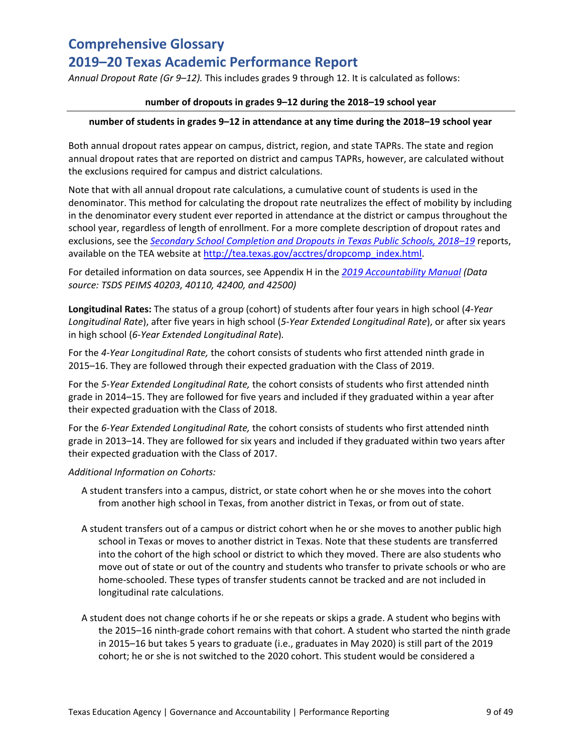*Annual Dropout Rate (Gr 9–12).* This includes grades 9 through 12. It is calculated as follows:

### **number of dropouts in grades 9–12 during the 2018–19 school year**

### **number of students in grades 9–12 in attendance at any time during the 2018–19 school year**

Both annual dropout rates appear on campus, district, region, and state TAPRs. The state and region annual dropout rates that are reported on district and campus TAPRs, however, are calculated without the exclusions required for campus and district calculations.

Note that with all annual dropout rate calculations, a cumulative count of students is used in the denominator. This method for calculating the dropout rate neutralizes the effect of mobility by including in the denominator every student ever reported in attendance at the district or campus throughout the school year, regardless of length of enrollment. For a more complete description of dropout rates and exclusions, see the *[Secondary School Completion and Dropouts in Texas Public Schools, 2018–19](https://tea.texas.gov/sites/default/files/dropcomp_2018-19.pdf)* reports, available on the TEA website at [http://tea.texas.gov/acctres/dropcomp\\_index.html.](http://www.tea.state.tx.us/acctres/dropcomp_index.html)

For detailed information on data sources, see Appendix H in the *[2019 Accountability Manual](https://tea.texas.gov/2019accountabilitymanual.aspx) (Data source: TSDS PEIMS 40203, 40110, 42400, and 42500)*

**Longitudinal Rates:** The status of a group (cohort) of students after four years in high school (*4-Year Longitudinal Rate*), after five years in high school (*5-Year Extended Longitudinal Rate*), or after six years in high school (*6-Year Extended Longitudinal Rate*)*.*

For the *4-Year Longitudinal Rate,* the cohort consists of students who first attended ninth grade in 2015–16. They are followed through their expected graduation with the Class of 2019.

For the *5-Year Extended Longitudinal Rate,* the cohort consists of students who first attended ninth grade in 2014–15. They are followed for five years and included if they graduated within a year after their expected graduation with the Class of 2018.

For the *6-Year Extended Longitudinal Rate,* the cohort consists of students who first attended ninth grade in 2013–14. They are followed for six years and included if they graduated within two years after their expected graduation with the Class of 2017.

### *Additional Information on Cohorts:*

- A student transfers into a campus, district, or state cohort when he or she moves into the cohort from another high school in Texas, from another district in Texas, or from out of state.
- A student transfers out of a campus or district cohort when he or she moves to another public high school in Texas or moves to another district in Texas. Note that these students are transferred into the cohort of the high school or district to which they moved. There are also students who move out of state or out of the country and students who transfer to private schools or who are home-schooled. These types of transfer students cannot be tracked and are not included in longitudinal rate calculations.
- A student does not change cohorts if he or she repeats or skips a grade. A student who begins with the 2015–16 ninth-grade cohort remains with that cohort. A student who started the ninth grade in 2015–16 but takes 5 years to graduate (i.e., graduates in May 2020) is still part of the 2019 cohort; he or she is not switched to the 2020 cohort. This student would be considered a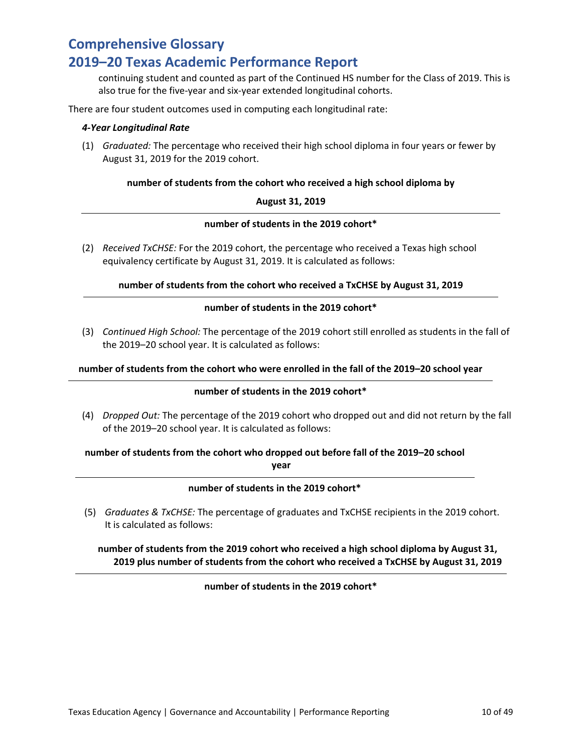### **2019–20 Texas Academic Performance Report**

continuing student and counted as part of the Continued HS number for the Class of 2019. This is also true for the five-year and six-year extended longitudinal cohorts.

There are four student outcomes used in computing each longitudinal rate:

#### *4-Year Longitudinal Rate*

(1) *Graduated:* The percentage who received their high school diploma in four years or fewer by August 31, 2019 for the 2019 cohort.

### **number of students from the cohort who received a high school diploma by**

### **August 31, 2019**

#### **number of students in the 2019 cohort\***

(2) *Received TxCHSE:* For the 2019 cohort, the percentage who received a Texas high school equivalency certificate by August 31, 2019. It is calculated as follows:

### **number of students from the cohort who received a TxCHSE by August 31, 2019**

### **number of students in the 2019 cohort\***

(3) *Continued High School:* The percentage of the 2019 cohort still enrolled as students in the fall of the 2019–20 school year. It is calculated as follows:

#### **number of students from the cohort who were enrolled in the fall of the 2019–20 school year**

### **number of students in the 2019 cohort\***

(4) *Dropped Out:* The percentage of the 2019 cohort who dropped out and did not return by the fall of the 2019–20 school year. It is calculated as follows:

## **number of students from the cohort who dropped out before fall of the 2019–20 school**

**year**

### **number of students in the 2019 cohort\***

(5) *Graduates & TxCHSE:* The percentage of graduates and TxCHSE recipients in the 2019 cohort. It is calculated as follows:

### **number of students from the 2019 cohort who received a high school diploma by August 31, 2019 plus number of students from the cohort who received a TxCHSE by August 31, 2019**

### **number of students in the 2019 cohort\***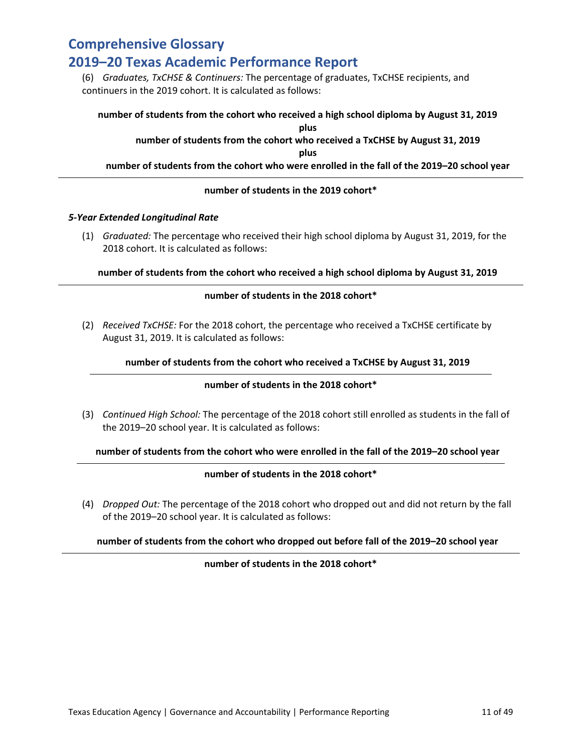### **2019–20 Texas Academic Performance Report**

(6) *Graduates, TxCHSE & Continuers:* The percentage of graduates, TxCHSE recipients, and continuers in the 2019 cohort. It is calculated as follows:

### **number of students from the cohort who received a high school diploma by August 31, 2019 plus number of students from the cohort who received a TxCHSE by August 31, 2019 plus number of students from the cohort who were enrolled in the fall of the 2019–20 school year**

### **number of students in the 2019 cohort\***

#### *5-Year Extended Longitudinal Rate*

(1) *Graduated:* The percentage who received their high school diploma by August 31, 2019, for the 2018 cohort. It is calculated as follows:

### **number of students from the cohort who received a high school diploma by August 31, 2019**

### **number of students in the 2018 cohort\***

(2) *Received TxCHSE:* For the 2018 cohort, the percentage who received a TxCHSE certificate by August 31, 2019. It is calculated as follows:

### **number of students from the cohort who received a TxCHSE by August 31, 2019**

#### **number of students in the 2018 cohort\***

(3) *Continued High School:* The percentage of the 2018 cohort still enrolled as students in the fall of the 2019–20 school year. It is calculated as follows:

#### **number of students from the cohort who were enrolled in the fall of the 2019–20 school year**

#### **number of students in the 2018 cohort\***

(4) *Dropped Out:* The percentage of the 2018 cohort who dropped out and did not return by the fall of the 2019–20 school year. It is calculated as follows:

### **number of students from the cohort who dropped out before fall of the 2019–20 school year**

### **number of students in the 2018 cohort\***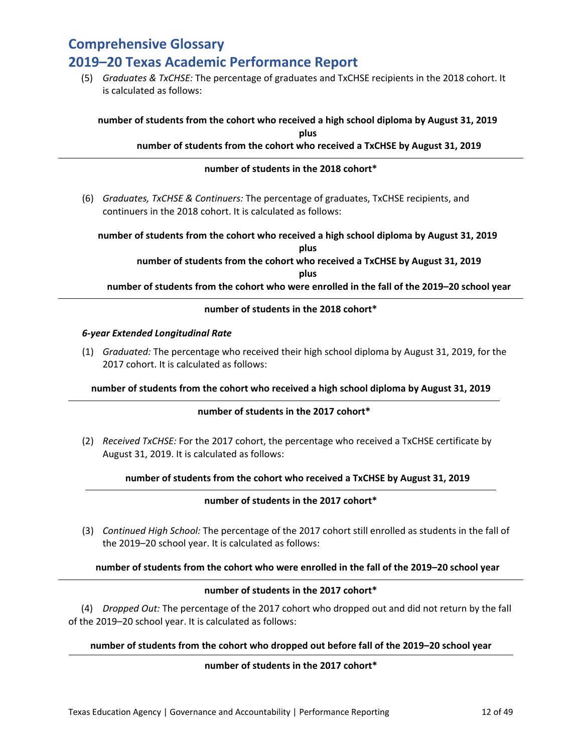(5) *Graduates & TxCHSE:* The percentage of graduates and TxCHSE recipients in the 2018 cohort. It is calculated as follows:

#### **number of students from the cohort who received a high school diploma by August 31, 2019 plus**

### **number of students from the cohort who received a TxCHSE by August 31, 2019**

### **number of students in the 2018 cohort\***

(6) *Graduates, TxCHSE & Continuers:* The percentage of graduates, TxCHSE recipients, and continuers in the 2018 cohort. It is calculated as follows:

**number of students from the cohort who received a high school diploma by August 31, 2019 plus**

> **number of students from the cohort who received a TxCHSE by August 31, 2019 plus**

**number of students from the cohort who were enrolled in the fall of the 2019–20 school year**

### **number of students in the 2018 cohort\***

#### *6-year Extended Longitudinal Rate*

(1) *Graduated:* The percentage who received their high school diploma by August 31, 2019, for the 2017 cohort. It is calculated as follows:

#### **number of students from the cohort who received a high school diploma by August 31, 2019**

### **number of students in the 2017 cohort\***

(2) *Received TxCHSE:* For the 2017 cohort, the percentage who received a TxCHSE certificate by August 31, 2019. It is calculated as follows:

#### **number of students from the cohort who received a TxCHSE by August 31, 2019**

### **number of students in the 2017 cohort\***

(3) *Continued High School:* The percentage of the 2017 cohort still enrolled as students in the fall of the 2019–20 school year. It is calculated as follows:

#### **number of students from the cohort who were enrolled in the fall of the 2019–20 school year**

### **number of students in the 2017 cohort\***

(4) *Dropped Out:* The percentage of the 2017 cohort who dropped out and did not return by the fall of the 2019–20 school year. It is calculated as follows:

### **number of students from the cohort who dropped out before fall of the 2019–20 school year**

### **number of students in the 2017 cohort\***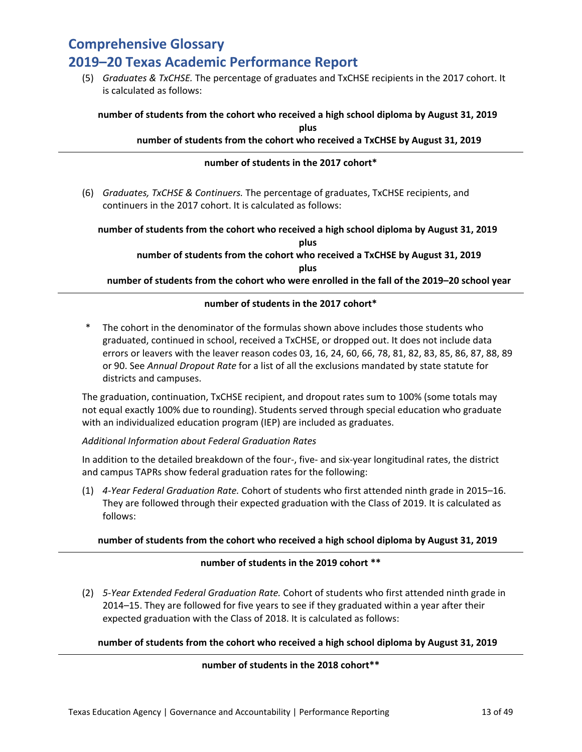(5) *Graduates & TxCHSE.* The percentage of graduates and TxCHSE recipients in the 2017 cohort. It is calculated as follows:

### **number of students from the cohort who received a high school diploma by August 31, 2019 plus**

### **number of students from the cohort who received a TxCHSE by August 31, 2019**

### **number of students in the 2017 cohort\***

(6) *Graduates, TxCHSE & Continuers.* The percentage of graduates, TxCHSE recipients, and continuers in the 2017 cohort. It is calculated as follows:

**number of students from the cohort who received a high school diploma by August 31, 2019 plus**

**number of students from the cohort who received a TxCHSE by August 31, 2019 plus**

**number of students from the cohort who were enrolled in the fall of the 2019–20 school year**

### **number of students in the 2017 cohort\***

\* The cohort in the denominator of the formulas shown above includes those students who graduated, continued in school, received a TxCHSE, or dropped out. It does not include data errors or leavers with the leaver reason codes 03, 16, 24, 60, 66, 78, 81, 82, 83, 85, 86, 87, 88, 89 or 90. See *Annual Dropout Rate* for a list of all the exclusions mandated by state statute for districts and campuses.

The graduation, continuation, TxCHSE recipient, and dropout rates sum to 100% (some totals may not equal exactly 100% due to rounding). Students served through special education who graduate with an individualized education program (IEP) are included as graduates.

#### *Additional Information about Federal Graduation Rates*

In addition to the detailed breakdown of the four-, five- and six-year longitudinal rates, the district and campus TAPRs show federal graduation rates for the following:

(1) *4-Year Federal Graduation Rate.* Cohort of students who first attended ninth grade in 2015–16. They are followed through their expected graduation with the Class of 2019. It is calculated as follows:

#### **number of students from the cohort who received a high school diploma by August 31, 2019**

### **number of students in the 2019 cohort \*\***

(2) *5-Year Extended Federal Graduation Rate.* Cohort of students who first attended ninth grade in 2014–15. They are followed for five years to see if they graduated within a year after their expected graduation with the Class of 2018. It is calculated as follows:

### **number of students from the cohort who received a high school diploma by August 31, 2019**

### **number of students in the 2018 cohort\*\***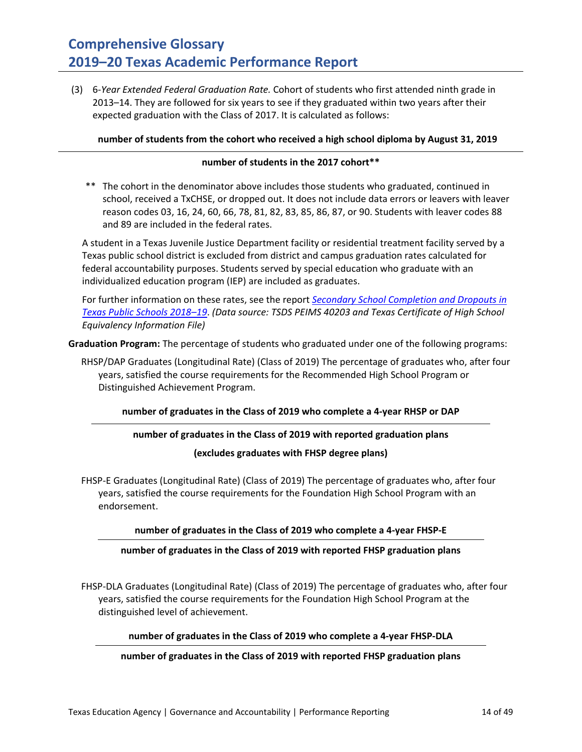(3) 6*-Year Extended Federal Graduation Rate.* Cohort of students who first attended ninth grade in 2013–14. They are followed for six years to see if they graduated within two years after their expected graduation with the Class of 2017. It is calculated as follows:

### **number of students from the cohort who received a high school diploma by August 31, 2019**

#### **number of students in the 2017 cohort\*\***

\*\* The cohort in the denominator above includes those students who graduated, continued in school, received a TxCHSE, or dropped out. It does not include data errors or leavers with leaver reason codes 03, 16, 24, 60, 66, 78, 81, 82, 83, 85, 86, 87, or 90. Students with leaver codes 88 and 89 are included in the federal rates.

A student in a Texas Juvenile Justice Department facility or residential treatment facility served by a Texas public school district is excluded from district and campus graduation rates calculated for federal accountability purposes. Students served by special education who graduate with an individualized education program (IEP) are included as graduates.

For further information on these rates, see the report *[Secondary School Completion and Dropouts in](https://tea.texas.gov/sites/default/files/dropcomp_2018-19.pdf)  [Texas Public Schools 2018–19](https://tea.texas.gov/sites/default/files/dropcomp_2018-19.pdf)*. *(Data source: TSDS PEIMS 40203 and Texas Certificate of High School Equivalency Information File)* 

**Graduation Program:** The percentage of students who graduated under one of the following programs:

RHSP/DAP Graduates (Longitudinal Rate) (Class of 2019) The percentage of graduates who, after four years, satisfied the course requirements for the Recommended High School Program or Distinguished Achievement Program.

#### **number of graduates in the Class of 2019 who complete a 4-year RHSP or DAP**

#### **number of graduates in the Class of 2019 with reported graduation plans**

**(excludes graduates with FHSP degree plans)**

FHSP-E Graduates (Longitudinal Rate) (Class of 2019) The percentage of graduates who, after four years, satisfied the course requirements for the Foundation High School Program with an endorsement.

### **number of graduates in the Class of 2019 who complete a 4-year FHSP-E**

#### **number of graduates in the Class of 2019 with reported FHSP graduation plans**

FHSP-DLA Graduates (Longitudinal Rate) (Class of 2019) The percentage of graduates who, after four years, satisfied the course requirements for the Foundation High School Program at the distinguished level of achievement.

#### **number of graduates in the Class of 2019 who complete a 4-year FHSP-DLA**

#### **number of graduates in the Class of 2019 with reported FHSP graduation plans**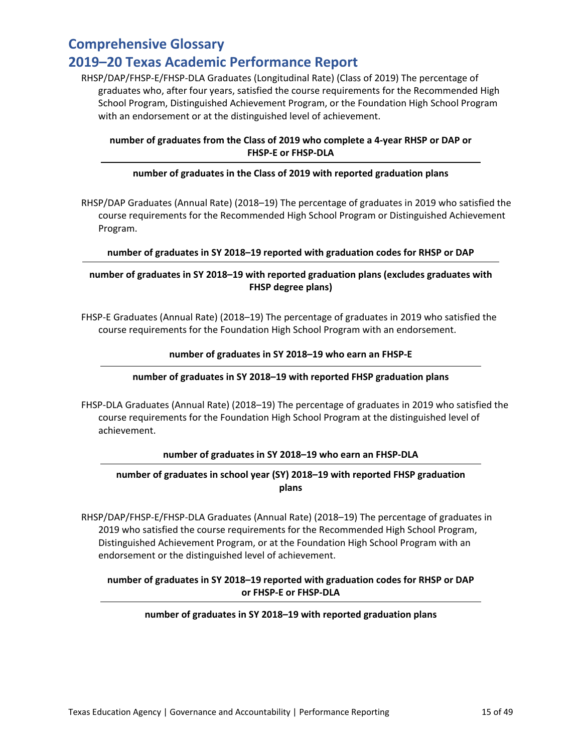RHSP/DAP/FHSP-E/FHSP-DLA Graduates (Longitudinal Rate) (Class of 2019) The percentage of graduates who, after four years, satisfied the course requirements for the Recommended High School Program, Distinguished Achievement Program, or the Foundation High School Program with an endorsement or at the distinguished level of achievement.

### **number of graduates from the Class of 2019 who complete a 4-year RHSP or DAP or FHSP-E or FHSP-DLA**

### **number of graduates in the Class of 2019 with reported graduation plans**

RHSP/DAP Graduates (Annual Rate) (2018–19) The percentage of graduates in 2019 who satisfied the course requirements for the Recommended High School Program or Distinguished Achievement Program.

### **number of graduates in SY 2018–19 reported with graduation codes for RHSP or DAP**

### **number of graduates in SY 2018–19 with reported graduation plans (excludes graduates with FHSP degree plans)**

FHSP-E Graduates (Annual Rate) (2018–19) The percentage of graduates in 2019 who satisfied the course requirements for the Foundation High School Program with an endorsement.

### **number of graduates in SY 2018–19 who earn an FHSP-E**

### **number of graduates in SY 2018–19 with reported FHSP graduation plans**

FHSP-DLA Graduates (Annual Rate) (2018–19) The percentage of graduates in 2019 who satisfied the course requirements for the Foundation High School Program at the distinguished level of achievement.

### **number of graduates in SY 2018–19 who earn an FHSP-DLA**

### **number of graduates in school year (SY) 2018–19 with reported FHSP graduation plans**

RHSP/DAP/FHSP-E/FHSP-DLA Graduates (Annual Rate) (2018–19) The percentage of graduates in 2019 who satisfied the course requirements for the Recommended High School Program, Distinguished Achievement Program, or at the Foundation High School Program with an endorsement or the distinguished level of achievement.

### **number of graduates in SY 2018–19 reported with graduation codes for RHSP or DAP or FHSP-E or FHSP-DLA**

#### **number of graduates in SY 2018–19 with reported graduation plans**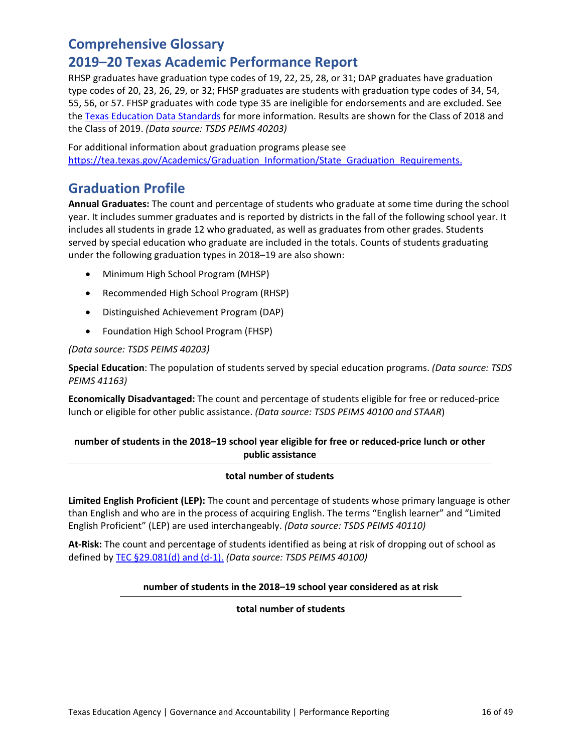### **2019–20 Texas Academic Performance Report**

RHSP graduates have graduation type codes of 19, 22, 25, 28, or 31; DAP graduates have graduation type codes of 20, 23, 26, 29, or 32; FHSP graduates are students with graduation type codes of 34, 54, 55, 56, or 57. FHSP graduates with code type 35 are ineligible for endorsements and are excluded. See the [Texas Education Data Standards](http://www.texasstudentdatasystem.org/TSDS/TEDS/TEDS_Latest_Release/) for more information. Results are shown for the Class of 2018 and the Class of 2019. *(Data source: TSDS PEIMS 40203)*

For additional information about graduation programs please see [https://tea.texas.gov/Academics/Graduation\\_Information/State\\_Graduation\\_Requirements.](https://tea.texas.gov/Academics/Graduation_Information/State_Graduation_Requirements)

### **Graduation Profile**

**Annual Graduates:** The count and percentage of students who graduate at some time during the school year. It includes summer graduates and is reported by districts in the fall of the following school year. It includes all students in grade 12 who graduated, as well as graduates from other grades. Students served by special education who graduate are included in the totals. Counts of students graduating under the following graduation types in 2018–19 are also shown:

- Minimum High School Program (MHSP)
- Recommended High School Program (RHSP)
- Distinguished Achievement Program (DAP)
- Foundation High School Program (FHSP)

### *(Data source: TSDS PEIMS 40203)*

**Special Education**: The population of students served by special education programs. *(Data source: TSDS PEIMS 41163)*

**Economically Disadvantaged:** The count and percentage of students eligible for free or reduced-price lunch or eligible for other public assistance. *(Data source: TSDS PEIMS 40100 and STAAR*)

### **number of students in the 2018–19 school year eligible for free or reduced-price lunch or other public assistance**

#### **total number of students**

**Limited English Proficient (LEP):** The count and percentage of students whose primary language is other than English and who are in the process of acquiring English. The terms "English learner" and "Limited English Proficient" (LEP) are used interchangeably. *(Data source: TSDS PEIMS 40110)*

**At-Risk:** The count and percentage of students identified as being at risk of dropping out of school as defined by [TEC §29.081\(d\) and \(d-1\).](http://www.statutes.legis.state.tx.us/Docs/ED/htm/ED.29.htm#29.081) *(Data source: TSDS PEIMS 40100)*

### **number of students in the 2018–19 school year considered as at risk**

**total number of students**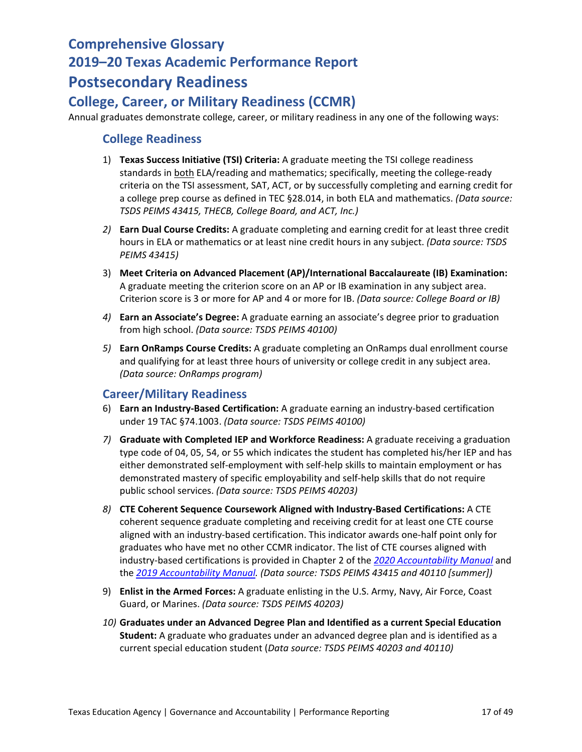# **Postsecondary Readiness**

### **College, Career, or Military Readiness (CCMR)**

Annual graduates demonstrate college, career, or military readiness in any one of the following ways:

### **College Readiness**

- 1) **Texas Success Initiative (TSI) Criteria:** A graduate meeting the TSI college readiness standards in both ELA/reading and mathematics; specifically, meeting the college-ready criteria on the TSI assessment, SAT, ACT, or by successfully completing and earning credit for a college prep course as defined in TEC §28.014, in both ELA and mathematics. *(Data source: TSDS PEIMS 43415, THECB, College Board, and ACT, Inc.)*
- *2)* **Earn Dual Course Credits:** A graduate completing and earning credit for at least three credit hours in ELA or mathematics or at least nine credit hours in any subject. *(Data source: TSDS PEIMS 43415)*
- 3) **Meet Criteria on Advanced Placement (AP)/International Baccalaureate (IB) Examination:** A graduate meeting the criterion score on an AP or IB examination in any subject area. Criterion score is 3 or more for AP and 4 or more for IB. *(Data source: College Board or IB)*
- *4)* **Earn an Associate's Degree:** A graduate earning an associate's degree prior to graduation from high school. *(Data source: TSDS PEIMS 40100)*
- *5)* **Earn OnRamps Course Credits:** A graduate completing an OnRamps dual enrollment course and qualifying for at least three hours of university or college credit in any subject area. *(Data source: OnRamps program)*

### **Career/Military Readiness**

- 6) **Earn an Industry-Based Certification:** A graduate earning an industry-based certification under 19 TAC §74.1003. *(Data source: TSDS PEIMS 40100)*
- *7)* **Graduate with Completed IEP and Workforce Readiness:** A graduate receiving a graduation type code of 04, 05, 54, or 55 which indicates the student has completed his/her IEP and has either demonstrated self-employment with self-help skills to maintain employment or has demonstrated mastery of specific employability and self-help skills that do not require public school services. *(Data source: TSDS PEIMS 40203)*
- *8)* **CTE Coherent Sequence Coursework Aligned with Industry-Based Certifications:** A CTE coherent sequence graduate completing and receiving credit for at least one CTE course aligned with an industry-based certification. This indicator awards one-half point only for graduates who have met no other CCMR indicator. The list of CTE courses aligned with industry-based certifications is provided in Chapter 2 of the *[2020 Accountability Manual](https://tea.texas.gov/sites/default/files/Chapter%202%202020%20Student%20Achievement%20Domain.pdf)* and the *[2019 Accountability Manual.](https://tea.texas.gov/texas-schools/accountability/academic-accountability/performance-reporting/2019-accountability-manual) (Data source: TSDS PEIMS 43415 and 40110 [summer])*
- 9) **Enlist in the Armed Forces:** A graduate enlisting in the U.S. Army, Navy, Air Force, Coast Guard, or Marines. *(Data source: TSDS PEIMS 40203)*
- *10)* **Graduates under an Advanced Degree Plan and Identified as a current Special Education Student:** A graduate who graduates under an advanced degree plan and is identified as a current special education student (*Data source: TSDS PEIMS 40203 and 40110)*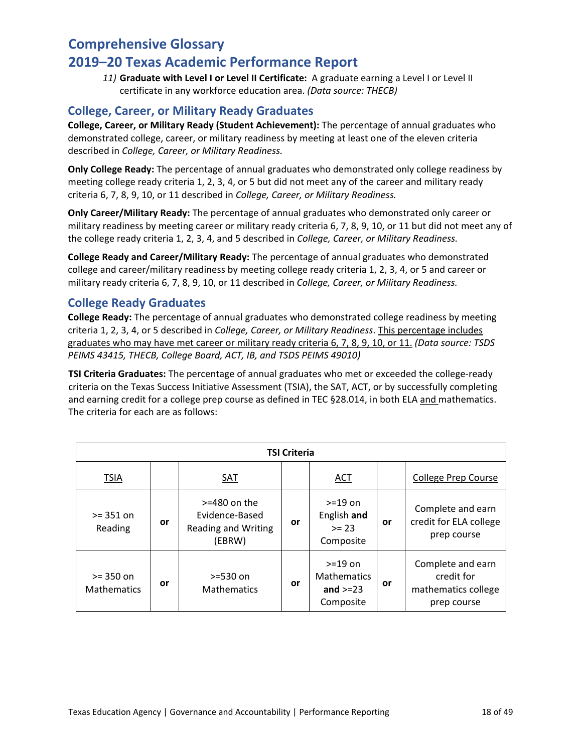*11)* **Graduate with Level I or Level II Certificate:**A graduate earning a Level I or Level II certificate in any workforce education area. *(Data source: THECB)*

### **College, Career, or Military Ready Graduates**

**College, Career, or Military Ready (Student Achievement):** The percentage of annual graduates who demonstrated college, career, or military readiness by meeting at least one of the eleven criteria described in *College, Career, or Military Readiness.*

**Only College Ready:** The percentage of annual graduates who demonstrated only college readiness by meeting college ready criteria 1, 2, 3, 4, or 5 but did not meet any of the career and military ready criteria 6, 7, 8, 9, 10, or 11 described in *College, Career, or Military Readiness.*

**Only Career/Military Ready:** The percentage of annual graduates who demonstrated only career or military readiness by meeting career or military ready criteria 6, 7, 8, 9, 10, or 11 but did not meet any of the college ready criteria 1, 2, 3, 4, and 5 described in *College, Career, or Military Readiness.*

**College Ready and Career/Military Ready:** The percentage of annual graduates who demonstrated college and career/military readiness by meeting college ready criteria 1, 2, 3, 4, or 5 and career or military ready criteria 6, 7, 8, 9, 10, or 11 described in *College, Career, or Military Readiness.*

### **College Ready Graduates**

**College Ready:** The percentage of annual graduates who demonstrated college readiness by meeting criteria 1, 2, 3, 4, or 5 described in *College, Career, or Military Readiness*. This percentage includes graduates who may have met career or military ready criteria 6, 7, 8, 9, 10, or 11. *(Data source: TSDS PEIMS 43415, THECB, College Board, ACT, IB, and TSDS PEIMS 49010)*

**TSI Criteria Graduates:** The percentage of annual graduates who met or exceeded the college-ready criteria on the Texas Success Initiative Assessment (TSIA), the SAT, ACT, or by successfully completing and earning credit for a college prep course as defined in TEC §28.014, in both ELA and mathematics. The criteria for each are as follows:

| <b>TSI Criteria</b>               |    |                                                                    |    |                                                              |    |                                                                       |
|-----------------------------------|----|--------------------------------------------------------------------|----|--------------------------------------------------------------|----|-----------------------------------------------------------------------|
| TSIA                              |    | SAT                                                                |    | ACT                                                          |    | <b>College Prep Course</b>                                            |
| $>= 351$ on<br>Reading            | or | $>=$ 480 on the<br>Evidence-Based<br>Reading and Writing<br>(EBRW) | or | $> = 19$ on<br>English and<br>$>= 23$<br>Composite           | or | Complete and earn<br>credit for ELA college<br>prep course            |
| $>= 350$ on<br><b>Mathematics</b> | or | $> = 530$ on<br><b>Mathematics</b>                                 | or | $> = 19$ on<br><b>Mathematics</b><br>and $>=23$<br>Composite | or | Complete and earn<br>credit for<br>mathematics college<br>prep course |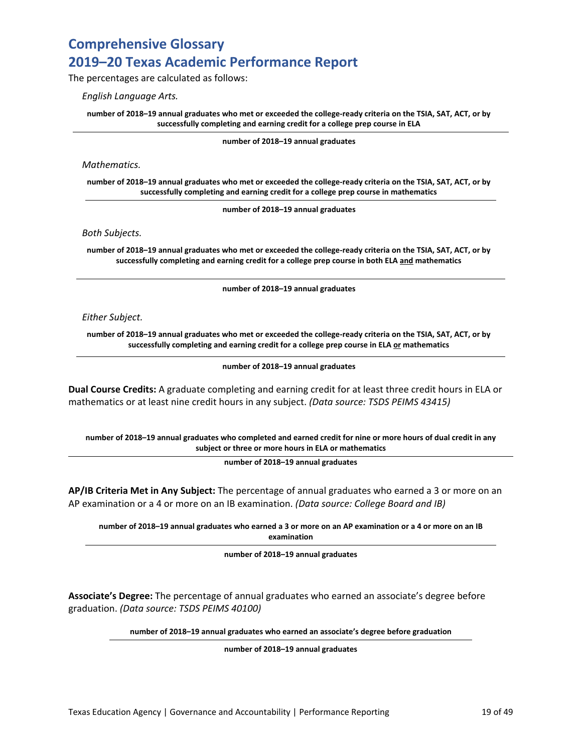The percentages are calculated as follows:

*English Language Arts.*

**number of 2018–19 annual graduates who met or exceeded the college-ready criteria on the TSIA, SAT, ACT, or by successfully completing and earning credit for a college prep course in ELA**

**number of 2018–19 annual graduates** 

*Mathematics.*

**number of 2018–19 annual graduates who met or exceeded the college-ready criteria on the TSIA, SAT, ACT, or by successfully completing and earning credit for a college prep course in mathematics**

**number of 2018–19 annual graduates**

*Both Subjects.* 

**number of 2018–19 annual graduates who met or exceeded the college-ready criteria on the TSIA, SAT, ACT, or by successfully completing and earning credit for a college prep course in both ELA and mathematics**

**number of 2018–19 annual graduates**

*Either Subject.* 

**number of 2018–19 annual graduates who met or exceeded the college-ready criteria on the TSIA, SAT, ACT, or by successfully completing and earning credit for a college prep course in ELA or mathematics**

**number of 2018–19 annual graduates** 

**Dual Course Credits:** A graduate completing and earning credit for at least three credit hours in ELA or mathematics or at least nine credit hours in any subject. *(Data source: TSDS PEIMS 43415)*

**number of 2018–19 annual graduates who completed and earned credit for nine or more hours of dual credit in any subject or three or more hours in ELA or mathematics**

**number of 2018–19 annual graduates** 

**AP/IB Criteria Met in Any Subject:** The percentage of annual graduates who earned a 3 or more on an AP examination or a 4 or more on an IB examination. *(Data source: College Board and IB)*

**number of 2018–19 annual graduates who earned a 3 or more on an AP examination or a 4 or more on an IB examination**

**number of 2018–19 annual graduates** 

**Associate's Degree:** The percentage of annual graduates who earned an associate's degree before graduation. *(Data source: TSDS PEIMS 40100)*

**number of 2018–19 annual graduates who earned an associate's degree before graduation**

**number of 2018–19 annual graduates**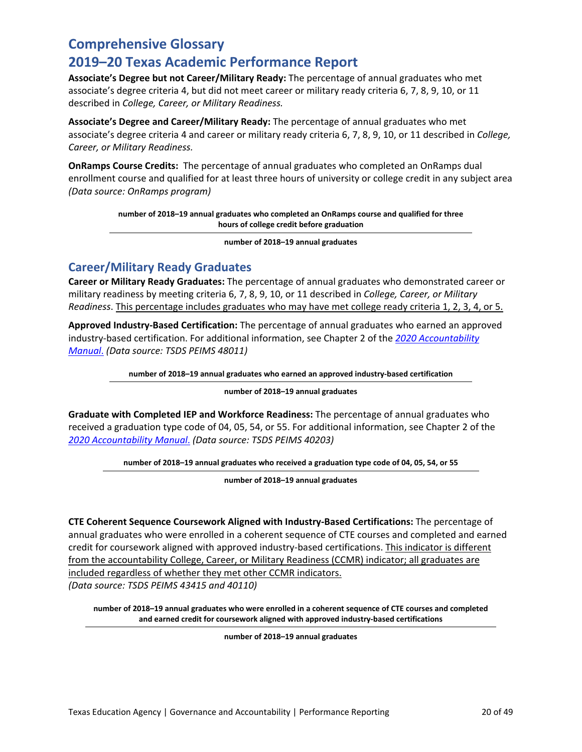### **2019–20 Texas Academic Performance Report**

**Associate's Degree but not Career/Military Ready:** The percentage of annual graduates who met associate's degree criteria 4, but did not meet career or military ready criteria 6, 7, 8, 9, 10, or 11 described in *College, Career, or Military Readiness.* 

**Associate's Degree and Career/Military Ready:** The percentage of annual graduates who met associate's degree criteria 4 and career or military ready criteria 6, 7, 8, 9, 10, or 11 described in *College, Career, or Military Readiness.* 

**OnRamps Course Credits:** The percentage of annual graduates who completed an OnRamps dual enrollment course and qualified for at least three hours of university or college credit in any subject area *(Data source: OnRamps program)*

> **number of 2018–19 annual graduates who completed an OnRamps course and qualified for three hours of college credit before graduation**

> > **number of 2018–19 annual graduates**

### **Career/Military Ready Graduates**

**Career or Military Ready Graduates:** The percentage of annual graduates who demonstrated career or military readiness by meeting criteria 6, 7, 8, 9, 10, or 11 described in *College, Career, or Military Readiness*. This percentage includes graduates who may have met college ready criteria 1, 2, 3, 4, or 5.

**Approved Industry-Based Certification:** The percentage of annual graduates who earned an approved industry-based certification. For additional information, see Chapter 2 of the *[2020 Accountability](https://tea.texas.gov/sites/default/files/Chapter%202%202020%20Student%20Achievement%20Domain.pdf)  [Manual](https://tea.texas.gov/sites/default/files/Chapter%202%202020%20Student%20Achievement%20Domain.pdf)*. *(Data source: TSDS PEIMS 48011)*

**number of 2018–19 annual graduates who earned an approved industry-based certification**

**number of 2018–19 annual graduates** 

**Graduate with Completed IEP and Workforce Readiness:** The percentage of annual graduates who received a graduation type code of 04, 05, 54, or 55. For additional information, see Chapter 2 of the *[2020 Accountability Manual](https://tea.texas.gov/sites/default/files/Chapter%202%202020%20Student%20Achievement%20Domain.pdf)*. *(Data source: TSDS PEIMS 40203)*

**number of 2018–19 annual graduates who received a graduation type code of 04, 05, 54, or 55**

**number of 2018–19 annual graduates** 

**CTE Coherent Sequence Coursework Aligned with Industry-Based Certifications:** The percentage of annual graduates who were enrolled in a coherent sequence of CTE courses and completed and earned credit for coursework aligned with approved industry-based certifications. This indicator is different from the accountability College, Career, or Military Readiness (CCMR) indicator; all graduates are included regardless of whether they met other CCMR indicators. *(Data source: TSDS PEIMS 43415 and 40110)*

**number of 2018–19 annual graduates who were enrolled in a coherent sequence of CTE courses and completed and earned credit for coursework aligned with approved industry-based certifications**

**number of 2018–19 annual graduates**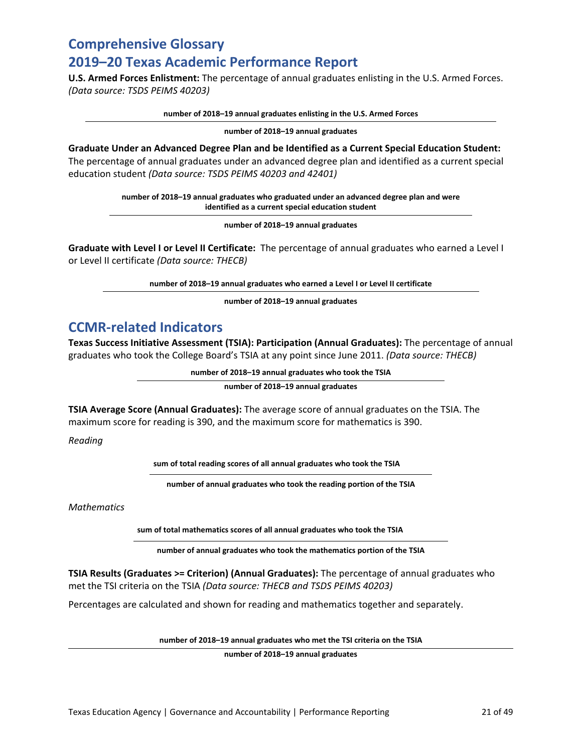**U.S. Armed Forces Enlistment:** The percentage of annual graduates enlisting in the U.S. Armed Forces. *(Data source: TSDS PEIMS 40203)*

**number of 2018–19 annual graduates enlisting in the U.S. Armed Forces** 

**number of 2018–19 annual graduates** 

**Graduate Under an Advanced Degree Plan and be Identified as a Current Special Education Student:** The percentage of annual graduates under an advanced degree plan and identified as a current special education student *(Data source: TSDS PEIMS 40203 and 42401)*

> **number of 2018–19 annual graduates who graduated under an advanced degree plan and were identified as a current special education student**

> > **number of 2018–19 annual graduates**

**Graduate with Level I or Level II Certificate:**The percentage of annual graduates who earned a Level I or Level II certificate *(Data source: THECB)*

**number of 2018–19 annual graduates who earned a Level I or Level II certificate** 

**number of 2018–19 annual graduates** 

### **CCMR-related Indicators**

**Texas Success Initiative Assessment (TSIA): Participation (Annual Graduates):** The percentage of annual graduates who took the College Board's TSIA at any point since June 2011. *(Data source: THECB)*

**number of 2018–19 annual graduates who took the TSIA**

**number of 2018–19 annual graduates** 

**TSIA Average Score (Annual Graduates):** The average score of annual graduates on the TSIA. The maximum score for reading is 390, and the maximum score for mathematics is 390.

*Reading* 

**sum of total reading scores of all annual graduates who took the TSIA**

**number of annual graduates who took the reading portion of the TSIA**

*Mathematics* 

**sum of total mathematics scores of all annual graduates who took the TSIA**

**number of annual graduates who took the mathematics portion of the TSIA**

**TSIA Results (Graduates >= Criterion) (Annual Graduates):** The percentage of annual graduates who met the TSI criteria on the TSIA *(Data source: THECB and TSDS PEIMS 40203)*

Percentages are calculated and shown for reading and mathematics together and separately.

**number of 2018–19 annual graduates who met the TSI criteria on the TSIA**

**number of 2018–19 annual graduates**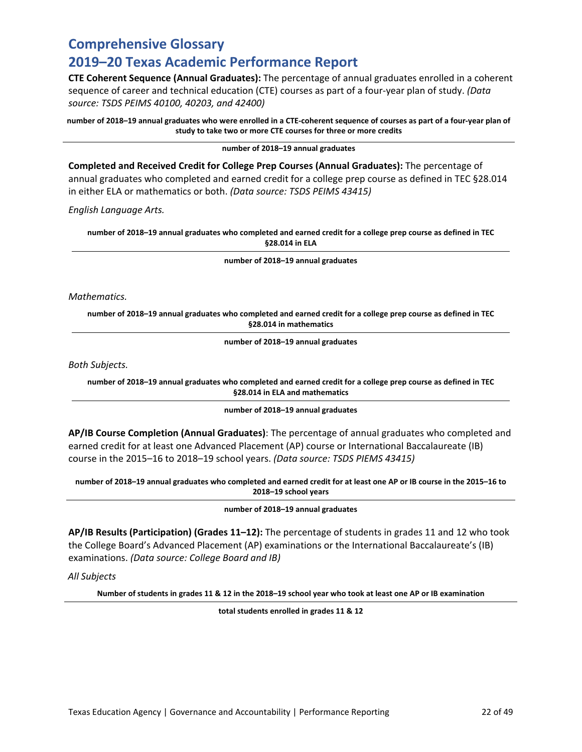### **2019–20 Texas Academic Performance Report**

**CTE Coherent Sequence (Annual Graduates):** The percentage of annual graduates enrolled in a coherent sequence of career and technical education (CTE) courses as part of a four-year plan of study. *(Data source: TSDS PEIMS 40100, 40203, and 42400)*

**number of 2018–19 annual graduates who were enrolled in a CTE-coherent sequence of courses as part of a four-year plan of study to take two or more CTE courses for three or more credits** 

**number of 2018–19 annual graduates** 

**Completed and Received Credit for College Prep Courses (Annual Graduates):** The percentage of annual graduates who completed and earned credit for a college prep course as defined in TEC §28.014 in either ELA or mathematics or both. *(Data source: TSDS PEIMS 43415)*

*English Language Arts.* 

**number of 2018–19 annual graduates who completed and earned credit for a college prep course as defined in TEC §28.014 in ELA** 

**number of 2018–19 annual graduates**

*Mathematics.*

**number of 2018–19 annual graduates who completed and earned credit for a college prep course as defined in TEC §28.014 in mathematics**

**number of 2018–19 annual graduates**

*Both Subjects.*

**number of 2018–19 annual graduates who completed and earned credit for a college prep course as defined in TEC §28.014 in ELA and mathematics**

**number of 2018–19 annual graduates**

**AP/IB Course Completion (Annual Graduates)**: The percentage of annual graduates who completed and earned credit for at least one Advanced Placement (AP) course or International Baccalaureate (IB) course in the 2015–16 to 2018–19 school years. *(Data source: TSDS PIEMS 43415)*

**number of 2018–19 annual graduates who completed and earned credit for at least one AP or IB course in the 2015–16 to 2018–19 school years** 

**number of 2018–19 annual graduates** 

**AP/IB Results (Participation) (Grades 11–12):** The percentage of students in grades 11 and 12 who took the College Board's Advanced Placement (AP) examinations or the International Baccalaureate's (IB) examinations. *(Data source: College Board and IB)*

*All Subjects*

**Number of students in grades 11 & 12 in the 2018–19 school year who took at least one AP or IB examination**

**total students enrolled in grades 11 & 12**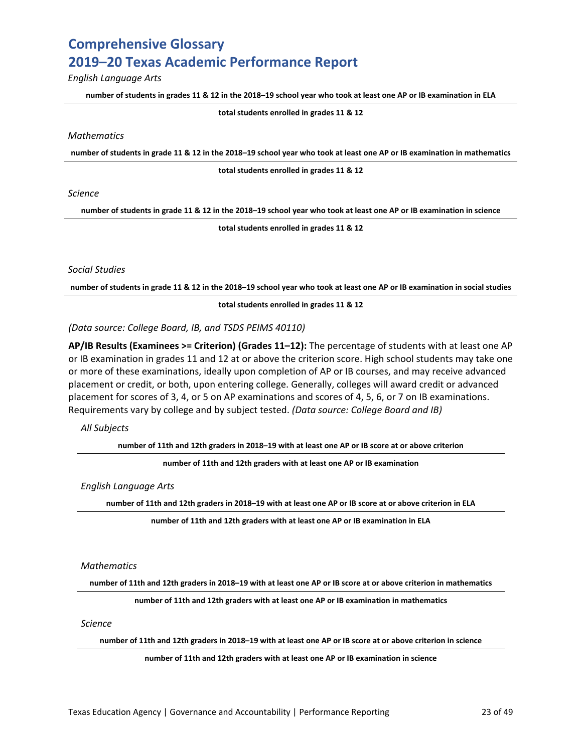*English Language Arts*

**number of students in grades 11 & 12 in the 2018–19 school year who took at least one AP or IB examination in ELA**

**total students enrolled in grades 11 & 12**

*Mathematics*

**number of students in grade 11 & 12 in the 2018–19 school year who took at least one AP or IB examination in mathematics**

**total students enrolled in grades 11 & 12**

*Science*

**number of students in grade 11 & 12 in the 2018–19 school year who took at least one AP or IB examination in science**

**total students enrolled in grades 11 & 12**

*Social Studies*

**number of students in grade 11 & 12 in the 2018–19 school year who took at least one AP or IB examination in social studies**

**total students enrolled in grades 11 & 12**

*(Data source: College Board, IB, and TSDS PEIMS 40110)*

**AP/IB Results (Examinees >= Criterion) (Grades 11–12):** The percentage of students with at least one AP or IB examination in grades 11 and 12 at or above the criterion score. High school students may take one or more of these examinations, ideally upon completion of AP or IB courses, and may receive advanced placement or credit, or both, upon entering college. Generally, colleges will award credit or advanced placement for scores of 3, 4, or 5 on AP examinations and scores of 4, 5, 6, or 7 on IB examinations. Requirements vary by college and by subject tested. *(Data source: College Board and IB)*

*All Subjects*

**number of 11th and 12th graders in 2018–19 with at least one AP or IB score at or above criterion**

**number of 11th and 12th graders with at least one AP or IB examination** 

*English Language Arts*

**number of 11th and 12th graders in 2018–19 with at least one AP or IB score at or above criterion in ELA**

**number of 11th and 12th graders with at least one AP or IB examination in ELA** 

*Mathematics*

**number of 11th and 12th graders in 2018–19 with at least one AP or IB score at or above criterion in mathematics**

**number of 11th and 12th graders with at least one AP or IB examination in mathematics** 

*Science*

**number of 11th and 12th graders in 2018–19 with at least one AP or IB score at or above criterion in science**

**number of 11th and 12th graders with at least one AP or IB examination in science**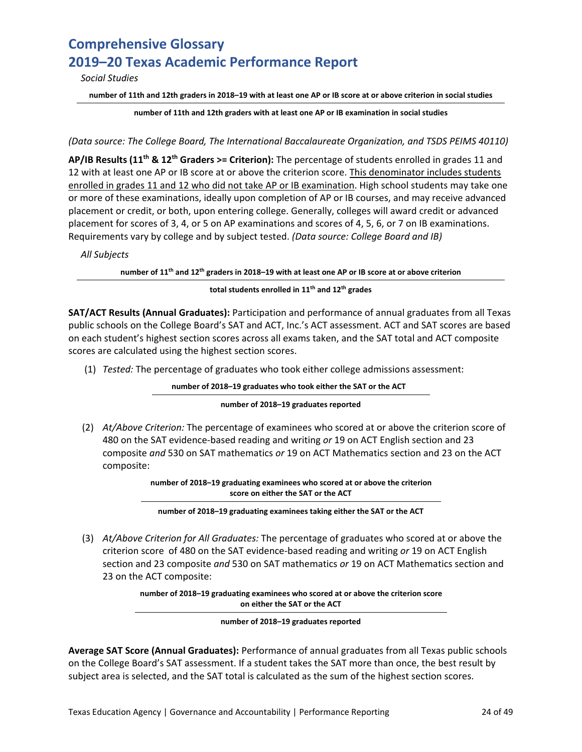*Social Studies*

**number of 11th and 12th graders in 2018–19 with at least one AP or IB score at or above criterion in social studies**

**number of 11th and 12th graders with at least one AP or IB examination in social studies**

#### *(Data source: The College Board, The International Baccalaureate Organization, and TSDS PEIMS 40110)*

**AP/IB Results (11th & 12th Graders >= Criterion):** The percentage of students enrolled in grades 11 and 12 with at least one AP or IB score at or above the criterion score. This denominator includes students enrolled in grades 11 and 12 who did not take AP or IB examination. High school students may take one or more of these examinations, ideally upon completion of AP or IB courses, and may receive advanced placement or credit, or both, upon entering college. Generally, colleges will award credit or advanced placement for scores of 3, 4, or 5 on AP examinations and scores of 4, 5, 6, or 7 on IB examinations. Requirements vary by college and by subject tested. *(Data source: College Board and IB)*

*All Subjects*

**number of 11th and 12th graders in 2018–19 with at least one AP or IB score at or above criterion**

#### **total students enrolled in 11th and 12th grades**

**SAT/ACT Results (Annual Graduates):** Participation and performance of annual graduates from all Texas public schools on the College Board's SAT and ACT, Inc.'s ACT assessment. ACT and SAT scores are based on each student's highest section scores across all exams taken, and the SAT total and ACT composite scores are calculated using the highest section scores.

(1) *Tested:* The percentage of graduates who took either college admissions assessment:

**number of 2018–19 graduates who took either the SAT or the ACT**

#### **number of 2018–19 graduates reported**

(2) *At/Above Criterion:* The percentage of examinees who scored at or above the criterion score of 480 on the SAT evidence-based reading and writing *or* 19 on ACT English section and 23 composite *and* 530 on SAT mathematics *or* 19 on ACT Mathematics section and 23 on the ACT composite:

> **number of 2018–19 graduating examinees who scored at or above the criterion score on either the SAT or the ACT**

**number of 2018–19 graduating examinees taking either the SAT or the ACT**

(3) *At/Above Criterion for All Graduates:* The percentage of graduates who scored at or above the criterion score of 480 on the SAT evidence-based reading and writing *or* 19 on ACT English section and 23 composite *and* 530 on SAT mathematics *or* 19 on ACT Mathematics section and 23 on the ACT composite:

> **number of 2018–19 graduating examinees who scored at or above the criterion score on either the SAT or the ACT**

> > **number of 2018–19 graduates reported**

**Average SAT Score (Annual Graduates):** Performance of annual graduates from all Texas public schools on the College Board's SAT assessment. If a student takes the SAT more than once, the best result by subject area is selected, and the SAT total is calculated as the sum of the highest section scores.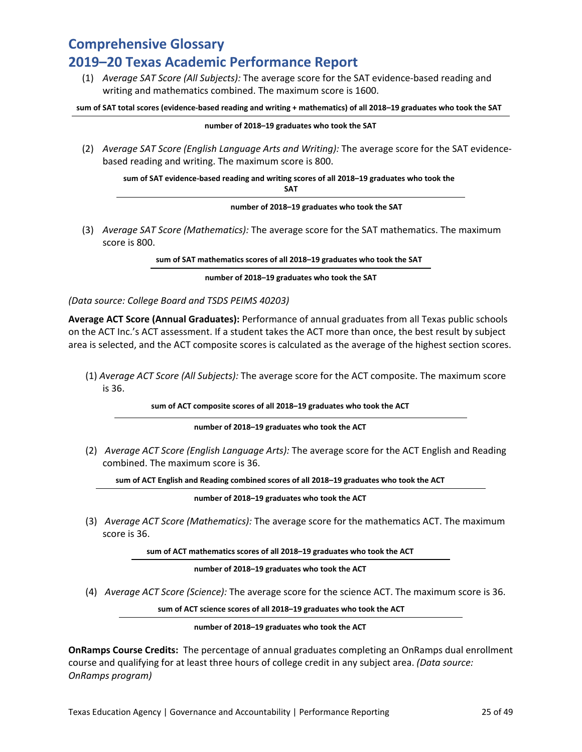(1) *Average SAT Score (All Subjects):* The average score for the SAT evidence-based reading and writing and mathematics combined. The maximum score is 1600.

**sum of SAT total scores (evidence-based reading and writing + mathematics) of all 2018–19 graduates who took the SAT**

#### **number of 2018–19 graduates who took the SAT**

(2) *Average SAT Score (English Language Arts and Writing):* The average score for the SAT evidencebased reading and writing. The maximum score is 800.

**sum of SAT evidence-based reading and writing scores of all 2018–19 graduates who took the SAT**

**number of 2018–19 graduates who took the SAT**

(3) *Average SAT Score (Mathematics):* The average score for the SAT mathematics. The maximum score is 800.

**sum of SAT mathematics scores of all 2018–19 graduates who took the SAT**

**number of 2018–19 graduates who took the SAT**

#### *(Data source: College Board and TSDS PEIMS 40203)*

**Average ACT Score (Annual Graduates):** Performance of annual graduates from all Texas public schools on the ACT Inc.'s ACT assessment. If a student takes the ACT more than once, the best result by subject area is selected, and the ACT composite scores is calculated as the average of the highest section scores.

(1) *A*v*erage ACT Score (All Subjects):* The average score for the ACT composite. The maximum score is 36.

**sum of ACT composite scores of all 2018–19 graduates who took the ACT**

**number of 2018–19 graduates who took the ACT**

(2) *Average ACT Score (English Language Arts):* The average score for the ACT English and Reading combined. The maximum score is 36.

**sum of ACT English and Reading combined scores of all 2018–19 graduates who took the ACT**

**number of 2018–19 graduates who took the ACT**

(3) *Average ACT Score (Mathematics):* The average score for the mathematics ACT. The maximum score is 36.

**sum of ACT mathematics scores of all 2018–19 graduates who took the ACT**

**number of 2018–19 graduates who took the ACT**

(4) *Average ACT Score (Science):* The average score for the science ACT. The maximum score is 36.

**sum of ACT science scores of all 2018–19 graduates who took the ACT**

**number of 2018–19 graduates who took the ACT**

**OnRamps Course Credits:** The percentage of annual graduates completing an OnRamps dual enrollment course and qualifying for at least three hours of college credit in any subject area. *(Data source: OnRamps program)*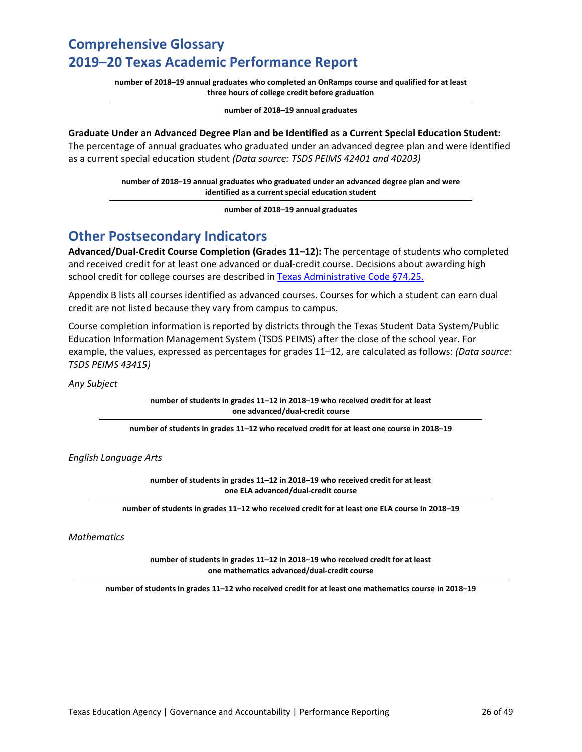**number of 2018–19 annual graduates who completed an OnRamps course and qualified for at least three hours of college credit before graduation**

**number of 2018–19 annual graduates** 

#### **Graduate Under an Advanced Degree Plan and be Identified as a Current Special Education Student:**

The percentage of annual graduates who graduated under an advanced degree plan and were identified as a current special education student *(Data source: TSDS PEIMS 42401 and 40203)*

> **number of 2018–19 annual graduates who graduated under an advanced degree plan and were identified as a current special education student**

> > **number of 2018–19 annual graduates**

### **Other Postsecondary Indicators**

**Advanced/Dual-Credit Course Completion (Grades 11–12):** The percentage of students who completed and received credit for at least one advanced or dual-credit course. Decisions about awarding high school credit for college courses are described in [Texas Administrative Code §74.25.](http://texreg.sos.state.tx.us/public/readtac$ext.TacPage?sl=R&app=9&p_dir=&p_rloc=&p_tloc=&p_ploc=&pg=1&p_tac=&ti=19&pt=2&ch=74&rl=25)

Appendix B lists all courses identified as advanced courses. Courses for which a student can earn dual credit are not listed because they vary from campus to campus.

Course completion information is reported by districts through the Texas Student Data System/Public Education Information Management System (TSDS PEIMS) after the close of the school year. For example, the values, expressed as percentages for grades 11–12, are calculated as follows: *(Data source: TSDS PEIMS 43415)*

*Any Subject*

**number of students in grades 11–12 in 2018–19 who received credit for at least one advanced/dual-credit course**

**number of students in grades 11–12 who received credit for at least one course in 2018–19** 

*English Language Arts* 

**number of students in grades 11–12 in 2018–19 who received credit for at least one ELA advanced/dual-credit course**

**number of students in grades 11–12 who received credit for at least one ELA course in 2018–19** 

*Mathematics* 

**number of students in grades 11–12 in 2018–19 who received credit for at least one mathematics advanced/dual-credit course**

**number of students in grades 11–12 who received credit for at least one mathematics course in 2018–19**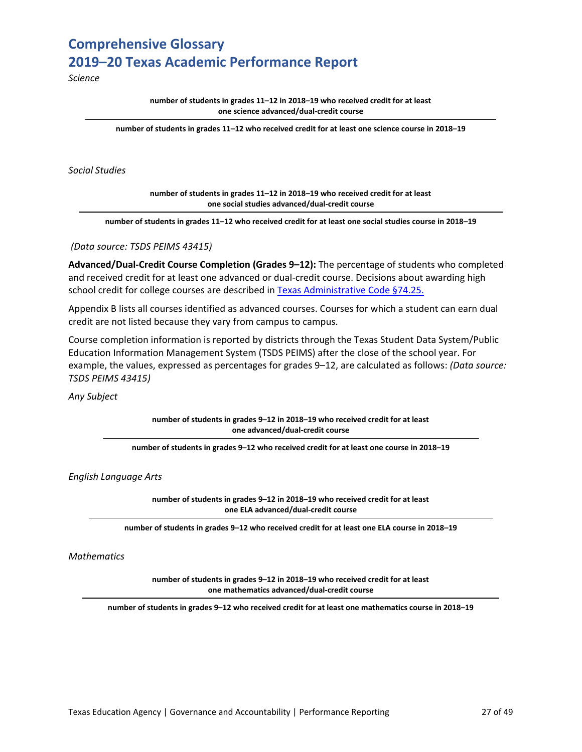*Science* 

**number of students in grades 11–12 in 2018–19 who received credit for at least one science advanced/dual-credit course**

**number of students in grades 11–12 who received credit for at least one science course in 2018–19** 

*Social Studies* 

**number of students in grades 11–12 in 2018–19 who received credit for at least one social studies advanced/dual-credit course**

**number of students in grades 11–12 who received credit for at least one social studies course in 2018–19** 

*(Data source: TSDS PEIMS 43415)*

**Advanced/Dual-Credit Course Completion (Grades 9–12):** The percentage of students who completed and received credit for at least one advanced or dual-credit course. Decisions about awarding high school credit for college courses are described in [Texas Administrative Code §74.25.](http://texreg.sos.state.tx.us/public/readtac$ext.TacPage?sl=R&app=9&p_dir=&p_rloc=&p_tloc=&p_ploc=&pg=1&p_tac=&ti=19&pt=2&ch=74&rl=25)

Appendix B lists all courses identified as advanced courses. Courses for which a student can earn dual credit are not listed because they vary from campus to campus.

Course completion information is reported by districts through the Texas Student Data System/Public Education Information Management System (TSDS PEIMS) after the close of the school year. For example, the values, expressed as percentages for grades 9–12, are calculated as follows: *(Data source: TSDS PEIMS 43415)*

*Any Subject*

**number of students in grades 9–12 in 2018–19 who received credit for at least one advanced/dual-credit course**

**number of students in grades 9–12 who received credit for at least one course in 2018–19** 

*English Language Arts* 

**number of students in grades 9–12 in 2018–19 who received credit for at least one ELA advanced/dual-credit course**

**number of students in grades 9–12 who received credit for at least one ELA course in 2018–19** 

*Mathematics* 

**number of students in grades 9–12 in 2018–19 who received credit for at least one mathematics advanced/dual-credit course**

**number of students in grades 9–12 who received credit for at least one mathematics course in 2018–19**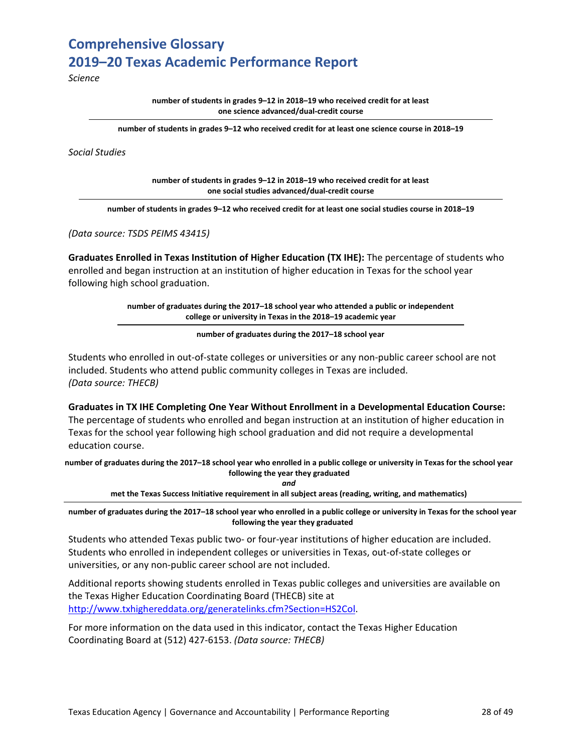*Science* 

**number of students in grades 9–12 in 2018–19 who received credit for at least one science advanced/dual-credit course**

**number of students in grades 9–12 who received credit for at least one science course in 2018–19** 

*Social Studies* 

**number of students in grades 9–12 in 2018–19 who received credit for at least one social studies advanced/dual-credit course**

**number of students in grades 9–12 who received credit for at least one social studies course in 2018–19** 

*(Data source: TSDS PEIMS 43415)*

**Graduates Enrolled in Texas Institution of Higher Education (TX IHE):** The percentage of students who enrolled and began instruction at an institution of higher education in Texas for the school year following high school graduation.

> **number of graduates during the 2017–18 school year who attended a public or independent college or university in Texas in the 2018–19 academic year**

> > **number of graduates during the 2017–18 school year**

Students who enrolled in out-of-state colleges or universities or any non-public career school are not included. Students who attend public community colleges in Texas are included. *(Data source: THECB)*

**Graduates in TX IHE Completing One Year Without Enrollment in a Developmental Education Course:** The percentage of students who enrolled and began instruction at an institution of higher education in Texas for the school year following high school graduation and did not require a developmental education course.

**number of graduates during the 2017–18 school year who enrolled in a public college or university in Texas for the school year following the year they graduated** *and*

**met the Texas Success Initiative requirement in all subject areas (reading, writing, and mathematics)** 

**number of graduates during the 2017–18 school year who enrolled in a public college or university in Texas for the school year following the year they graduated**

Students who attended Texas public two- or four-year institutions of higher education are included. Students who enrolled in independent colleges or universities in Texas, out-of-state colleges or universities, or any non-public career school are not included.

Additional reports showing students enrolled in Texas public colleges and universities are available on the Texas Higher Education Coordinating Board (THECB) site at [http://www.txhighereddata.org/generatelinks.cfm?Section=HS2Col.](http://www.txhighereddata.org/generatelinks.cfm?Section=HS2Col)

For more information on the data used in this indicator, contact the Texas Higher Education Coordinating Board at (512) 427-6153. *(Data source: THECB)*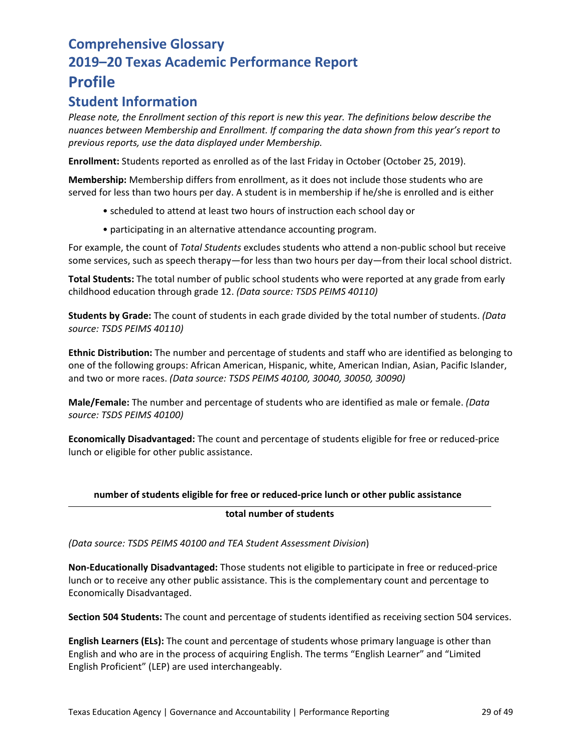### **Student Information**

*Please note, the Enrollment section of this report is new this year. The definitions below describe the nuances between Membership and Enrollment. If comparing the data shown from this year's report to previous reports, use the data displayed under Membership.* 

**Enrollment:** Students reported as enrolled as of the last Friday in October (October 25, 2019).

**Membership:** Membership differs from enrollment, as it does not include those students who are served for less than two hours per day. A student is in membership if he/she is enrolled and is either

- scheduled to attend at least two hours of instruction each school day or
- participating in an alternative attendance accounting program.

For example, the count of *Total Students* excludes students who attend a non-public school but receive some services, such as speech therapy—for less than two hours per day—from their local school district.

**Total Students:** The total number of public school students who were reported at any grade from early childhood education through grade 12. *(Data source: TSDS PEIMS 40110)*

**Students by Grade:** The count of students in each grade divided by the total number of students. *(Data source: TSDS PEIMS 40110)*

**Ethnic Distribution:** The number and percentage of students and staff who are identified as belonging to one of the following groups: African American, Hispanic, white, American Indian, Asian, Pacific Islander, and two or more races. *(Data source: TSDS PEIMS 40100, 30040, 30050, 30090)*

**Male/Female:** The number and percentage of students who are identified as male or female. *(Data source: TSDS PEIMS 40100)*

**Economically Disadvantaged:** The count and percentage of students eligible for free or reduced-price lunch or eligible for other public assistance.

### **number of students eligible for free or reduced-price lunch or other public assistance**

### **total number of students**

*(Data source: TSDS PEIMS 40100 and TEA Student Assessment Division*)

**Non-Educationally Disadvantaged:** Those students not eligible to participate in free or reduced-price lunch or to receive any other public assistance. This is the complementary count and percentage to Economically Disadvantaged.

**Section 504 Students:** The count and percentage of students identified as receiving section 504 services.

**English Learners (ELs):** The count and percentage of students whose primary language is other than English and who are in the process of acquiring English. The terms "English Learner" and "Limited English Proficient" (LEP) are used interchangeably.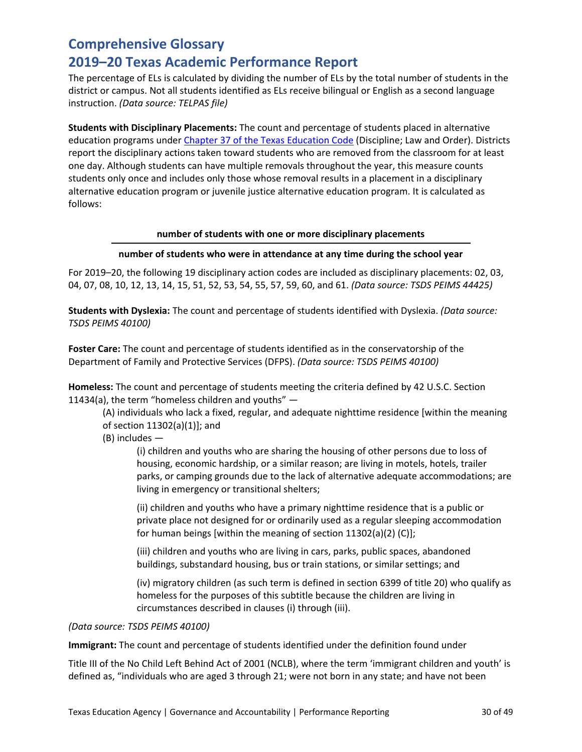The percentage of ELs is calculated by dividing the number of ELs by the total number of students in the district or campus. Not all students identified as ELs receive bilingual or English as a second language instruction. *(Data source: TELPAS file)*

**Students with Disciplinary Placements:** The count and percentage of students placed in alternative education programs unde[r Chapter 37 of the Texas](http://www.statutes.legis.state.tx.us/Docs/ED/htm/ED.37.htm) Education Code (Discipline; Law and Order). Districts report the disciplinary actions taken toward students who are removed from the classroom for at least one day. Although students can have multiple removals throughout the year, this measure counts students only once and includes only those whose removal results in a placement in a disciplinary alternative education program or juvenile justice alternative education program. It is calculated as follows:

#### **number of students with one or more disciplinary placements**

#### **number of students who were in attendance at any time during the school year**

For 2019–20, the following 19 disciplinary action codes are included as disciplinary placements: 02, 03, 04, 07, 08, 10, 12, 13, 14, 15, 51, 52, 53, 54, 55, 57, 59, 60, and 61. *(Data source: TSDS PEIMS 44425)*

**Students with Dyslexia:** The count and percentage of students identified with Dyslexia. *(Data source: TSDS PEIMS 40100)*

**Foster Care:** The count and percentage of students identified as in the conservatorship of the Department of Family and Protective Services (DFPS). *(Data source: TSDS PEIMS 40100)*

**Homeless:** The count and percentage of students meeting the criteria defined by 42 U.S.C. Section 11434(a), the term "homeless children and youths"  $-$ 

(A) individuals who lack a fixed, regular, and adequate nighttime residence [within the meaning of section 11302(a)(1)]; and

(B) includes —

(i) children and youths who are sharing the housing of other persons due to loss of housing, economic hardship, or a similar reason; are living in motels, hotels, trailer parks, or camping grounds due to the lack of alternative adequate accommodations; are living in emergency or transitional shelters;

(ii) children and youths who have a primary nighttime residence that is a public or private place not designed for or ordinarily used as a regular sleeping accommodation for human beings [within the meaning of section 11302(a)(2) (C)];

(iii) children and youths who are living in cars, parks, public spaces, abandoned buildings, substandard housing, bus or train stations, or similar settings; and

(iv) migratory children (as such term is defined in section 6399 of title 20) who qualify as homeless for the purposes of this subtitle because the children are living in circumstances described in clauses (i) through (iii).

#### *(Data source: TSDS PEIMS 40100)*

**Immigrant:** The count and percentage of students identified under the definition found under

Title III of the No Child Left Behind Act of 2001 (NCLB), where the term 'immigrant children and youth' is defined as, "individuals who are aged 3 through 21; were not born in any state; and have not been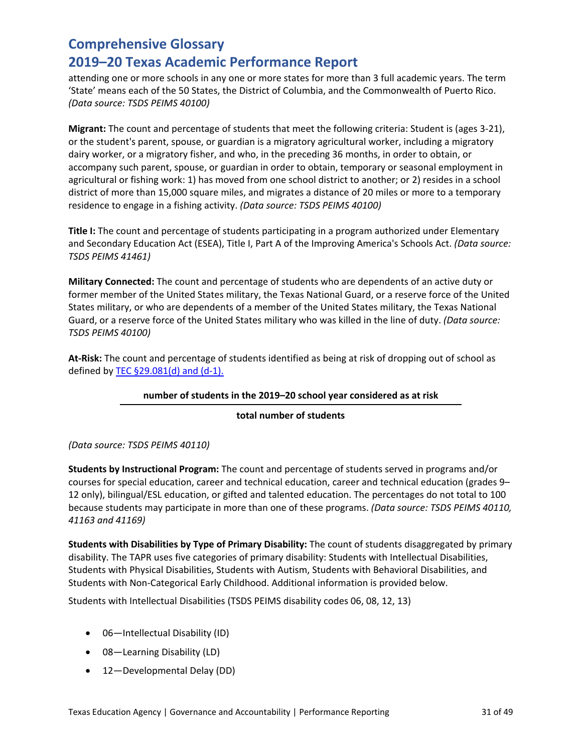attending one or more schools in any one or more states for more than 3 full academic years. The term 'State' means each of the 50 States, the District of Columbia, and the Commonwealth of Puerto Rico. *(Data source: TSDS PEIMS 40100)*

**Migrant:** The count and percentage of students that meet the following criteria: Student is (ages 3-21), or the student's parent, spouse, or guardian is a migratory agricultural worker, including a migratory dairy worker, or a migratory fisher, and who, in the preceding 36 months, in order to obtain, or accompany such parent, spouse, or guardian in order to obtain, temporary or seasonal employment in agricultural or fishing work: 1) has moved from one school district to another; or 2) resides in a school district of more than 15,000 square miles, and migrates a distance of 20 miles or more to a temporary residence to engage in a fishing activity. *(Data source: TSDS PEIMS 40100)*

**Title I:** The count and percentage of students participating in a program authorized under Elementary and Secondary Education Act (ESEA), Title I, Part A of the Improving America's Schools Act. *(Data source: TSDS PEIMS 41461)*

**Military Connected:** The count and percentage of students who are dependents of an active duty or former member of the United States military, the Texas National Guard, or a reserve force of the United States military, or who are dependents of a member of the United States military, the Texas National Guard, or a reserve force of the United States military who was killed in the line of duty. *(Data source: TSDS PEIMS 40100)*

**At-Risk:** The count and percentage of students identified as being at risk of dropping out of school as defined by TEC  $\S$ 29.081(d) and (d-1).

#### **number of students in the 2019–20 school year considered as at risk**

#### **total number of students**

*(Data source: TSDS PEIMS 40110)* 

**Students by Instructional Program:** The count and percentage of students served in programs and/or courses for special education, career and technical education, career and technical education (grades 9– 12 only), bilingual/ESL education, or gifted and talented education. The percentages do not total to 100 because students may participate in more than one of these programs. *(Data source: TSDS PEIMS 40110, 41163 and 41169)*

**Students with Disabilities by Type of Primary Disability:** The count of students disaggregated by primary disability. The TAPR uses five categories of primary disability: Students with Intellectual Disabilities, Students with Physical Disabilities, Students with Autism, Students with Behavioral Disabilities, and Students with Non-Categorical Early Childhood. Additional information is provided below.

Students with Intellectual Disabilities (TSDS PEIMS disability codes 06, 08, 12, 13)

- 06—Intellectual Disability (ID)
- 08—Learning Disability (LD)
- 12—Developmental Delay (DD)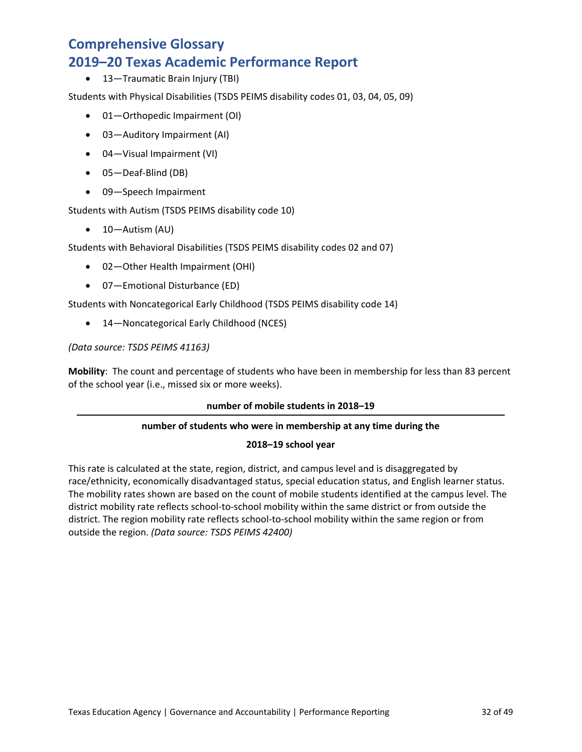• 13—Traumatic Brain Injury (TBI)

Students with Physical Disabilities (TSDS PEIMS disability codes 01, 03, 04, 05, 09)

- 01—Orthopedic Impairment (OI)
- 03—Auditory Impairment (AI)
- 04—Visual Impairment (VI)
- 05—Deaf-Blind (DB)
- 09—Speech Impairment

Students with Autism (TSDS PEIMS disability code 10)

• 10—Autism (AU)

Students with Behavioral Disabilities (TSDS PEIMS disability codes 02 and 07)

- 02—Other Health Impairment (OHI)
- 07—Emotional Disturbance (ED)

Students with Noncategorical Early Childhood (TSDS PEIMS disability code 14)

• 14—Noncategorical Early Childhood (NCES)

### *(Data source: TSDS PEIMS 41163)*

**Mobility**:The count and percentage of students who have been in membership for less than 83 percent of the school year (i.e., missed six or more weeks).

#### **number of mobile students in 2018–19**

### **number of students who were in membership at any time during the**

### **2018–19 school year**

This rate is calculated at the state, region, district, and campus level and is disaggregated by race/ethnicity, economically disadvantaged status, special education status, and English learner status. The mobility rates shown are based on the count of mobile students identified at the campus level. The district mobility rate reflects school-to-school mobility within the same district or from outside the district. The region mobility rate reflects school-to-school mobility within the same region or from outside the region. *(Data source: TSDS PEIMS 42400)*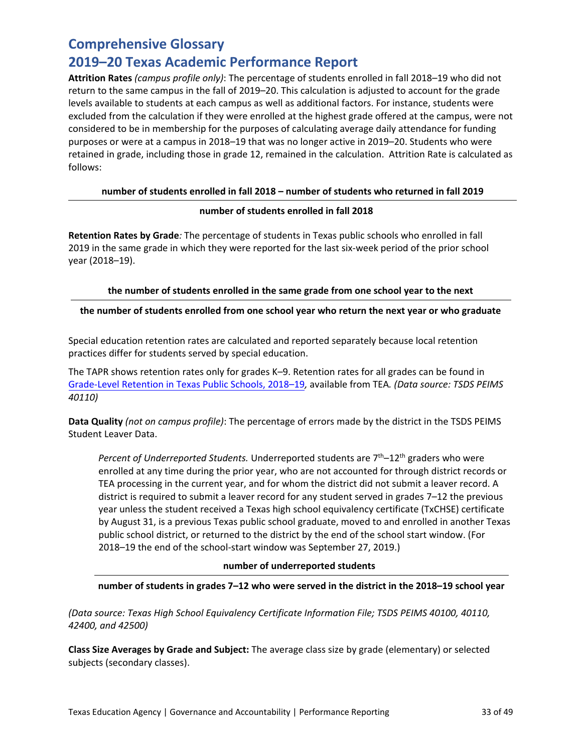### **2019–20 Texas Academic Performance Report**

**Attrition Rates** *(campus profile only)*: The percentage of students enrolled in fall 2018–19 who did not return to the same campus in the fall of 2019–20. This calculation is adjusted to account for the grade levels available to students at each campus as well as additional factors. For instance, students were excluded from the calculation if they were enrolled at the highest grade offered at the campus, were not considered to be in membership for the purposes of calculating average daily attendance for funding purposes or were at a campus in 2018–19 that was no longer active in 2019–20. Students who were retained in grade, including those in grade 12, remained in the calculation. Attrition Rate is calculated as follows:

### **number of students enrolled in fall 2018 – number of students who returned in fall 2019**

### **number of students enrolled in fall 2018**

**Retention Rates by Grade***:* The percentage of students in Texas public schools who enrolled in fall 2019 in the same grade in which they were reported for the last six-week period of the prior school year (2018–19).

### **the number of students enrolled in the same grade from one school year to the next**

### **the number of students enrolled from one school year who return the next year or who graduate**

Special education retention rates are calculated and reported separately because local retention practices differ for students served by special education.

The TAPR shows retention rates only for grades K–9. Retention rates for all grades can be found in [Grade-Level Retention in Texas Public Schools, 2018–19](https://tea.texas.gov/sites/default/files/retention_student_performance_2018-19.pdf)*,* available from TEA*. (Data source: TSDS PEIMS 40110)*

**Data Quality** *(not on campus profile)*: The percentage of errors made by the district in the TSDS PEIMS Student Leaver Data.

*Percent of Underreported Students.* Underreported students are  $7<sup>th</sup>-12<sup>th</sup>$  graders who were enrolled at any time during the prior year, who are not accounted for through district records or TEA processing in the current year, and for whom the district did not submit a leaver record. A district is required to submit a leaver record for any student served in grades 7–12 the previous year unless the student received a Texas high school equivalency certificate (TxCHSE) certificate by August 31, is a previous Texas public school graduate, moved to and enrolled in another Texas public school district, or returned to the district by the end of the school start window. (For 2018–19 the end of the school-start window was September 27, 2019.)

#### **number of underreported students**

### **number of students in grades 7–12 who were served in the district in the 2018–19 school year**

*(Data source: Texas High School Equivalency Certificate Information File; TSDS PEIMS 40100, 40110, 42400, and 42500)*

**Class Size Averages by Grade and Subject:** The average class size by grade (elementary) or selected subjects (secondary classes).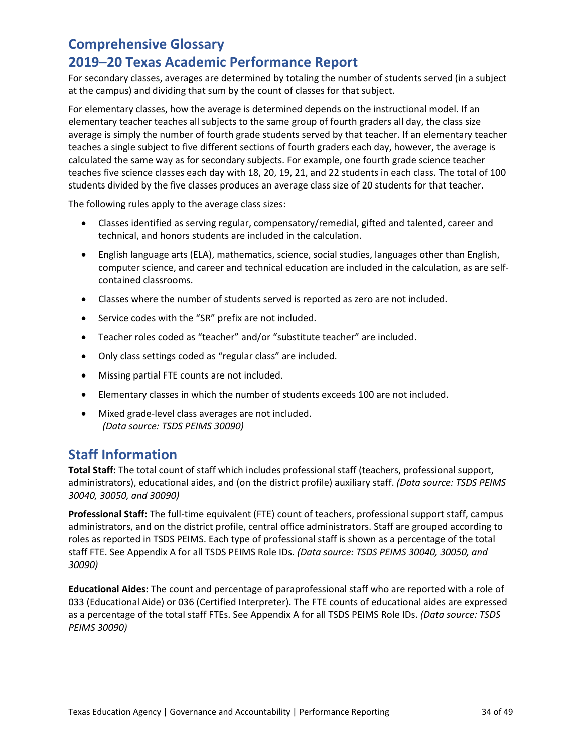For secondary classes, averages are determined by totaling the number of students served (in a subject at the campus) and dividing that sum by the count of classes for that subject.

For elementary classes, how the average is determined depends on the instructional model. If an elementary teacher teaches all subjects to the same group of fourth graders all day, the class size average is simply the number of fourth grade students served by that teacher. If an elementary teacher teaches a single subject to five different sections of fourth graders each day, however, the average is calculated the same way as for secondary subjects. For example, one fourth grade science teacher teaches five science classes each day with 18, 20, 19, 21, and 22 students in each class. The total of 100 students divided by the five classes produces an average class size of 20 students for that teacher.

The following rules apply to the average class sizes:

- Classes identified as serving regular, compensatory/remedial, gifted and talented, career and technical, and honors students are included in the calculation.
- English language arts (ELA), mathematics, science, social studies, languages other than English, computer science, and career and technical education are included in the calculation, as are selfcontained classrooms.
- Classes where the number of students served is reported as zero are not included.
- Service codes with the "SR" prefix are not included.
- Teacher roles coded as "teacher" and/or "substitute teacher" are included.
- Only class settings coded as "regular class" are included.
- Missing partial FTE counts are not included.
- Elementary classes in which the number of students exceeds 100 are not included.
- Mixed grade-level class averages are not included. *(Data source: TSDS PEIMS 30090)*

### **Staff Information**

**Total Staff:** The total count of staff which includes professional staff (teachers, professional support, administrators), educational aides, and (on the district profile) auxiliary staff. *(Data source: TSDS PEIMS 30040, 30050, and 30090)*

**Professional Staff:** The full-time equivalent (FTE) count of teachers, professional support staff, campus administrators, and on the district profile, central office administrators. Staff are grouped according to roles as reported in TSDS PEIMS. Each type of professional staff is shown as a percentage of the total staff FTE. See Appendix A for all TSDS PEIMS Role IDs*. (Data source: TSDS PEIMS 30040, 30050, and 30090)*

**Educational Aides:** The count and percentage of paraprofessional staff who are reported with a role of 033 (Educational Aide) or 036 (Certified Interpreter). The FTE counts of educational aides are expressed as a percentage of the total staff FTEs. See Appendix A for all TSDS PEIMS Role IDs. *(Data source: TSDS PEIMS 30090)*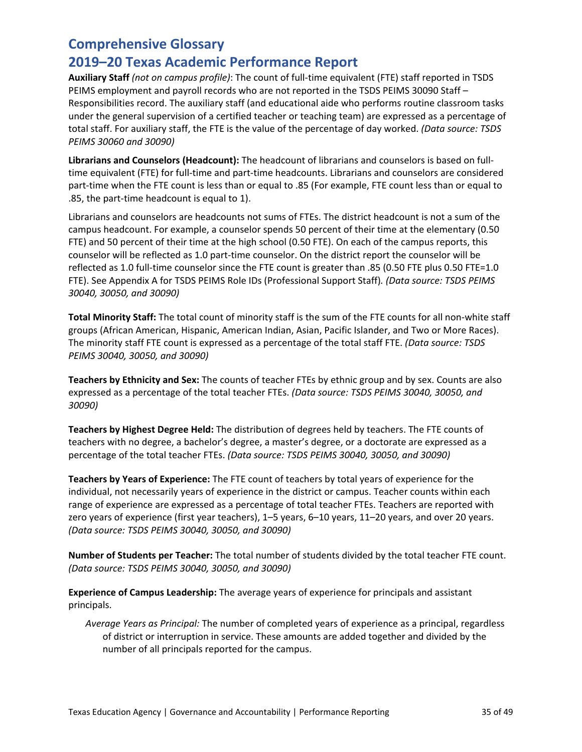### **2019–20 Texas Academic Performance Report**

**Auxiliary Staff** *(not on campus profile)*: The count of full-time equivalent (FTE) staff reported in TSDS PEIMS employment and payroll records who are not reported in the TSDS PEIMS 30090 Staff – Responsibilities record. The auxiliary staff (and educational aide who performs routine classroom tasks under the general supervision of a certified teacher or teaching team) are expressed as a percentage of total staff. For auxiliary staff, the FTE is the value of the percentage of day worked. *(Data source: TSDS PEIMS 30060 and 30090)*

**Librarians and Counselors (Headcount):** The headcount of librarians and counselors is based on fulltime equivalent (FTE) for full-time and part-time headcounts. Librarians and counselors are considered part-time when the FTE count is less than or equal to .85 (For example, FTE count less than or equal to .85, the part-time headcount is equal to 1).

Librarians and counselors are headcounts not sums of FTEs. The district headcount is not a sum of the campus headcount. For example, a counselor spends 50 percent of their time at the elementary (0.50 FTE) and 50 percent of their time at the high school (0.50 FTE). On each of the campus reports, this counselor will be reflected as 1.0 part-time counselor. On the district report the counselor will be reflected as 1.0 full-time counselor since the FTE count is greater than .85 (0.50 FTE plus 0.50 FTE=1.0 FTE). See Appendix A for TSDS PEIMS Role IDs (Professional Support Staff)*. (Data source: TSDS PEIMS 30040, 30050, and 30090)*

**Total Minority Staff:** The total count of minority staff is the sum of the FTE counts for all non-white staff groups (African American, Hispanic, American Indian, Asian, Pacific Islander, and Two or More Races). The minority staff FTE count is expressed as a percentage of the total staff FTE. *(Data source: TSDS PEIMS 30040, 30050, and 30090)*

**Teachers by Ethnicity and Sex:** The counts of teacher FTEs by ethnic group and by sex. Counts are also expressed as a percentage of the total teacher FTEs. *(Data source: TSDS PEIMS 30040, 30050, and 30090)*

**Teachers by Highest Degree Held:** The distribution of degrees held by teachers. The FTE counts of teachers with no degree, a bachelor's degree, a master's degree, or a doctorate are expressed as a percentage of the total teacher FTEs. *(Data source: TSDS PEIMS 30040, 30050, and 30090)*

**Teachers by Years of Experience:** The FTE count of teachers by total years of experience for the individual, not necessarily years of experience in the district or campus. Teacher counts within each range of experience are expressed as a percentage of total teacher FTEs. Teachers are reported with zero years of experience (first year teachers), 1–5 years, 6–10 years, 11–20 years, and over 20 years. *(Data source: TSDS PEIMS 30040, 30050, and 30090)*

**Number of Students per Teacher:** The total number of students divided by the total teacher FTE count. *(Data source: TSDS PEIMS 30040, 30050, and 30090)*

**Experience of Campus Leadership:** The average years of experience for principals and assistant principals.

*Average Years as Principal:* The number of completed years of experience as a principal, regardless of district or interruption in service. These amounts are added together and divided by the number of all principals reported for the campus.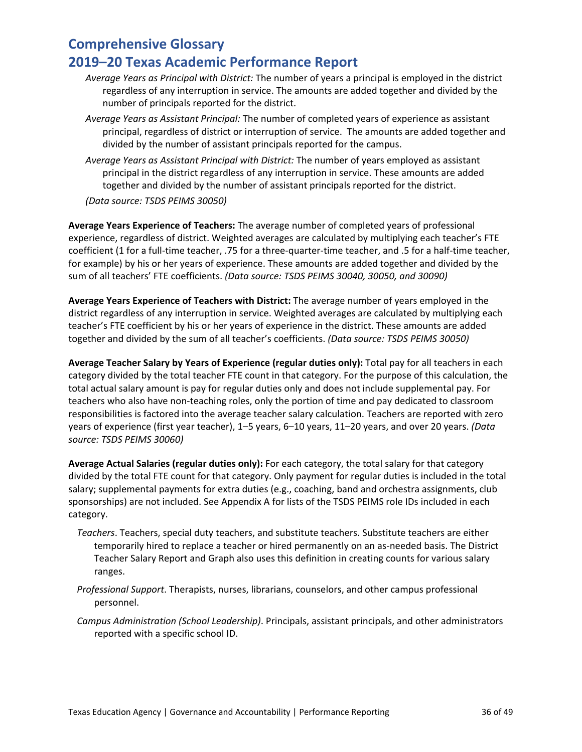- *Average Years as Principal with District:* The number of years a principal is employed in the district regardless of any interruption in service. The amounts are added together and divided by the number of principals reported for the district.
- *Average Years as Assistant Principal:* The number of completed years of experience as assistant principal, regardless of district or interruption of service. The amounts are added together and divided by the number of assistant principals reported for the campus.
- *Average Years as Assistant Principal with District:* The number of years employed as assistant principal in the district regardless of any interruption in service. These amounts are added together and divided by the number of assistant principals reported for the district.
- *(Data source: TSDS PEIMS 30050)*

**Average Years Experience of Teachers:** The average number of completed years of professional experience, regardless of district. Weighted averages are calculated by multiplying each teacher's FTE coefficient (1 for a full-time teacher, .75 for a three-quarter-time teacher, and .5 for a half-time teacher, for example) by his or her years of experience. These amounts are added together and divided by the sum of all teachers' FTE coefficients. *(Data source: TSDS PEIMS 30040, 30050, and 30090)*

**Average Years Experience of Teachers with District:** The average number of years employed in the district regardless of any interruption in service. Weighted averages are calculated by multiplying each teacher's FTE coefficient by his or her years of experience in the district. These amounts are added together and divided by the sum of all teacher's coefficients. *(Data source: TSDS PEIMS 30050)*

**Average Teacher Salary by Years of Experience (regular duties only):** Total pay for all teachers in each category divided by the total teacher FTE count in that category. For the purpose of this calculation, the total actual salary amount is pay for regular duties only and does not include supplemental pay. For teachers who also have non-teaching roles, only the portion of time and pay dedicated to classroom responsibilities is factored into the average teacher salary calculation. Teachers are reported with zero years of experience (first year teacher), 1–5 years, 6–10 years, 11–20 years, and over 20 years. *(Data source: TSDS PEIMS 30060)*

**Average Actual Salaries (regular duties only):** For each category, the total salary for that category divided by the total FTE count for that category. Only payment for regular duties is included in the total salary; supplemental payments for extra duties (e.g., coaching, band and orchestra assignments, club sponsorships) are not included. See Appendix A for lists of the TSDS PEIMS role IDs included in each category.

- *Teachers*. Teachers, special duty teachers, and substitute teachers. Substitute teachers are either temporarily hired to replace a teacher or hired permanently on an as-needed basis. The District Teacher Salary Report and Graph also uses this definition in creating counts for various salary ranges.
- *Professional Support*. Therapists, nurses, librarians, counselors, and other campus professional personnel.
- *Campus Administration (School Leadership)*. Principals, assistant principals, and other administrators reported with a specific school ID.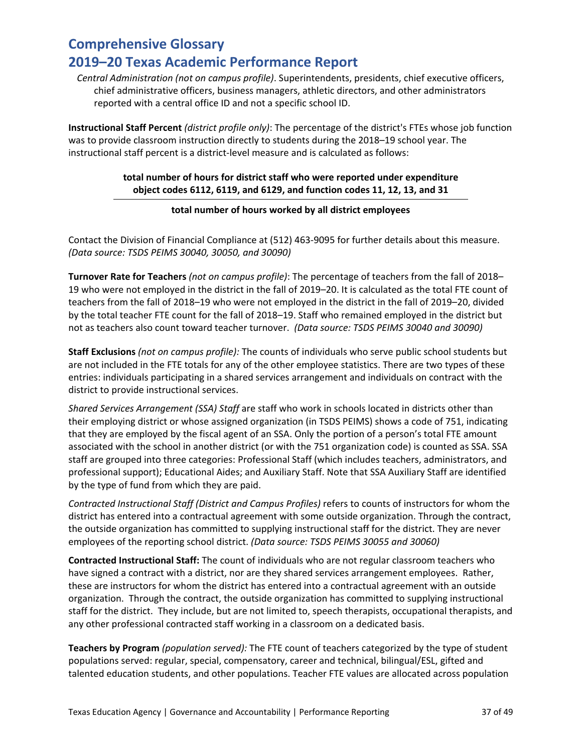*Central Administration (not on campus profile)*. Superintendents, presidents, chief executive officers, chief administrative officers, business managers, athletic directors, and other administrators reported with a central office ID and not a specific school ID.

**Instructional Staff Percent** *(district profile only)*: The percentage of the district's FTEs whose job function was to provide classroom instruction directly to students during the 2018–19 school year. The instructional staff percent is a district-level measure and is calculated as follows:

### **total number of hours for district staff who were reported under expenditure object codes 6112, 6119, and 6129, and function codes 11, 12, 13, and 31**

### **total number of hours worked by all district employees**

Contact the Division of Financial Compliance at (512) 463-9095 for further details about this measure. *(Data source: TSDS PEIMS 30040, 30050, and 30090)*

**Turnover Rate for Teachers** *(not on campus profile)*: The percentage of teachers from the fall of 2018– 19 who were not employed in the district in the fall of 2019–20. It is calculated as the total FTE count of teachers from the fall of 2018–19 who were not employed in the district in the fall of 2019–20, divided by the total teacher FTE count for the fall of 2018–19. Staff who remained employed in the district but not as teachers also count toward teacher turnover. *(Data source: TSDS PEIMS 30040 and 30090)*

**Staff Exclusions** *(not on campus profile):* The counts of individuals who serve public school students but are not included in the FTE totals for any of the other employee statistics. There are two types of these entries: individuals participating in a shared services arrangement and individuals on contract with the district to provide instructional services.

*Shared Services Arrangement (SSA) Staff* are staff who work in schools located in districts other than their employing district or whose assigned organization (in TSDS PEIMS) shows a code of 751, indicating that they are employed by the fiscal agent of an SSA. Only the portion of a person's total FTE amount associated with the school in another district (or with the 751 organization code) is counted as SSA. SSA staff are grouped into three categories: Professional Staff (which includes teachers, administrators, and professional support); Educational Aides; and Auxiliary Staff. Note that SSA Auxiliary Staff are identified by the type of fund from which they are paid.

*Contracted Instructional Staff (District and Campus Profiles)* refers to counts of instructors for whom the district has entered into a contractual agreement with some outside organization. Through the contract, the outside organization has committed to supplying instructional staff for the district. They are never employees of the reporting school district. *(Data source: TSDS PEIMS 30055 and 30060)*

**Contracted Instructional Staff:** The count of individuals who are not regular classroom teachers who have signed a contract with a district, nor are they shared services arrangement employees. Rather, these are instructors for whom the district has entered into a contractual agreement with an outside organization. Through the contract, the outside organization has committed to supplying instructional staff for the district. They include, but are not limited to, speech therapists, occupational therapists, and any other professional contracted staff working in a classroom on a dedicated basis.

**Teachers by Program** *(population served):* The FTE count of teachers categorized by the type of student populations served: regular, special, compensatory, career and technical, bilingual/ESL, gifted and talented education students, and other populations. Teacher FTE values are allocated across population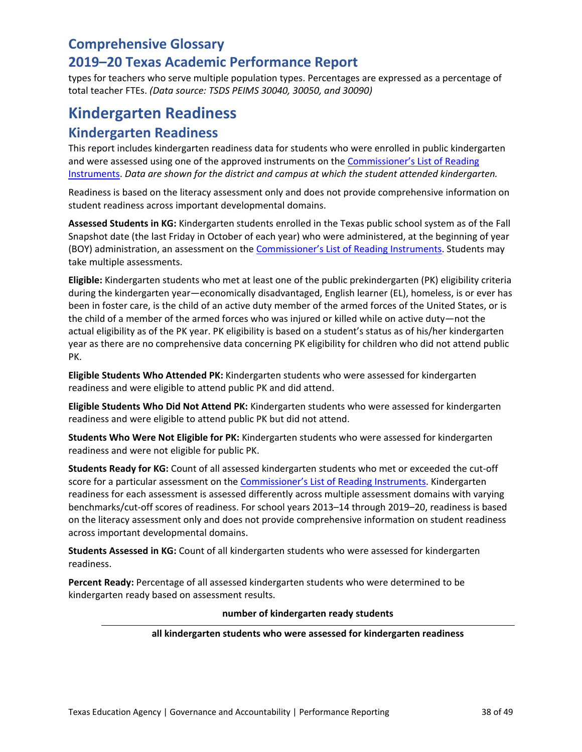types for teachers who serve multiple population types. Percentages are expressed as a percentage of total teacher FTEs. *(Data source: TSDS PEIMS 30040, 30050, and 30090)*

### **Kindergarten Readiness Kindergarten Readiness**

This report includes kindergarten readiness data for students who were enrolled in public kindergarten and were assessed using one of the approved instruments on the [Commissioner's List of Reading](https://tea.texas.gov/Academics/Early_Childhood_Education/Educator_Resources/)  [Instruments.](https://tea.texas.gov/Academics/Early_Childhood_Education/Educator_Resources/) *Data are shown for the district and campus at which the student attended kindergarten.* 

Readiness is based on the literacy assessment only and does not provide comprehensive information on student readiness across important developmental domains.

**Assessed Students in KG:** Kindergarten students enrolled in the Texas public school system as of the Fall Snapshot date (the last Friday in October of each year) who were administered, at the beginning of year (BOY) administration, an assessment on the **Commissioner's List of Reading Instruments**. Students may take multiple assessments.

**Eligible:** Kindergarten students who met at least one of the public prekindergarten (PK) eligibility criteria during the kindergarten year—economically disadvantaged, English learner (EL), homeless, is or ever has been in foster care, is the child of an active duty member of the armed forces of the United States, or is the child of a member of the armed forces who was injured or killed while on active duty—not the actual eligibility as of the PK year. PK eligibility is based on a student's status as of his/her kindergarten year as there are no comprehensive data concerning PK eligibility for children who did not attend public PK.

**Eligible Students Who Attended PK:** Kindergarten students who were assessed for kindergarten readiness and were eligible to attend public PK and did attend.

**Eligible Students Who Did Not Attend PK:** Kindergarten students who were assessed for kindergarten readiness and were eligible to attend public PK but did not attend.

**Students Who Were Not Eligible for PK:** Kindergarten students who were assessed for kindergarten readiness and were not eligible for public PK.

**Students Ready for KG:** Count of all assessed kindergarten students who met or exceeded the cut-off score for a particular assessment on the [Commissioner's List of Reading Instruments.](https://tea.texas.gov/Academics/Early_Childhood_Education/Educator_Resources/) Kindergarten readiness for each assessment is assessed differently across multiple assessment domains with varying benchmarks/cut-off scores of readiness. For school years 2013–14 through 2019–20, readiness is based on the literacy assessment only and does not provide comprehensive information on student readiness across important developmental domains.

**Students Assessed in KG:** Count of all kindergarten students who were assessed for kindergarten readiness.

**Percent Ready:** Percentage of all assessed kindergarten students who were determined to be kindergarten ready based on assessment results.

#### **number of kindergarten ready students**

#### **all kindergarten students who were assessed for kindergarten readiness**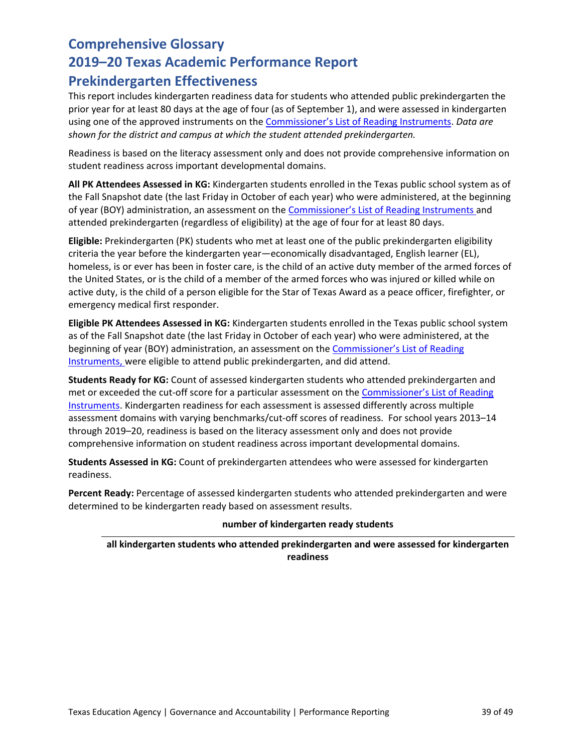### **Comprehensive Glossary 2019–20 Texas Academic Performance Report Prekindergarten Effectiveness**

This report includes kindergarten readiness data for students who attended public prekindergarten the prior year for at least 80 days at the age of four (as of September 1), and were assessed in kindergarten using one of the approved instruments on th[e Commissioner's List of Reading Instruments.](https://tea.texas.gov/Academics/Early_Childhood_Education/Educator_Resources/) *Data are shown for the district and campus at which the student attended prekindergarten.* 

Readiness is based on the literacy assessment only and does not provide comprehensive information on student readiness across important developmental domains.

**All PK Attendees Assessed in KG:** Kindergarten students enrolled in the Texas public school system as of the Fall Snapshot date (the last Friday in October of each year) who were administered, at the beginning of year (BOY) administration, an assessment on the [Commissioner's List of Reading Instruments](https://tea.texas.gov/Academics/Early_Childhood_Education/Educator_Resources/) and attended prekindergarten (regardless of eligibility) at the age of four for at least 80 days.

**Eligible:** Prekindergarten (PK) students who met at least one of the public prekindergarten eligibility criteria the year before the kindergarten year—economically disadvantaged, English learner (EL), homeless, is or ever has been in foster care, is the child of an active duty member of the armed forces of the United States, or is the child of a member of the armed forces who was injured or killed while on active duty, is the child of a person eligible for the Star of Texas Award as a peace officer, firefighter, or emergency medical first responder.

**Eligible PK Attendees Assessed in KG:** Kindergarten students enrolled in the Texas public school system as of the Fall Snapshot date (the last Friday in October of each year) who were administered, at the beginning of year (BOY) administration, an assessment on the [Commissioner's List of Reading](https://tea.texas.gov/Academics/Early_Childhood_Education/Educator_Resources/)  [Instruments,](https://tea.texas.gov/Academics/Early_Childhood_Education/Educator_Resources/) were eligible to attend public prekindergarten, and did attend.

**Students Ready for KG:** Count of assessed kindergarten students who attended prekindergarten and met or exceeded the cut-off score for a particular assessment on the [Commissioner's List of Reading](https://tea.texas.gov/Academics/Early_Childhood_Education/Educator_Resources/)  [Instruments.](https://tea.texas.gov/Academics/Early_Childhood_Education/Educator_Resources/) Kindergarten readiness for each assessment is assessed differently across multiple assessment domains with varying benchmarks/cut-off scores of readiness. For school years 2013–14 through 2019–20, readiness is based on the literacy assessment only and does not provide comprehensive information on student readiness across important developmental domains.

**Students Assessed in KG:** Count of prekindergarten attendees who were assessed for kindergarten readiness.

**Percent Ready:** Percentage of assessed kindergarten students who attended prekindergarten and were determined to be kindergarten ready based on assessment results.

#### **number of kindergarten ready students**

**all kindergarten students who attended prekindergarten and were assessed for kindergarten readiness**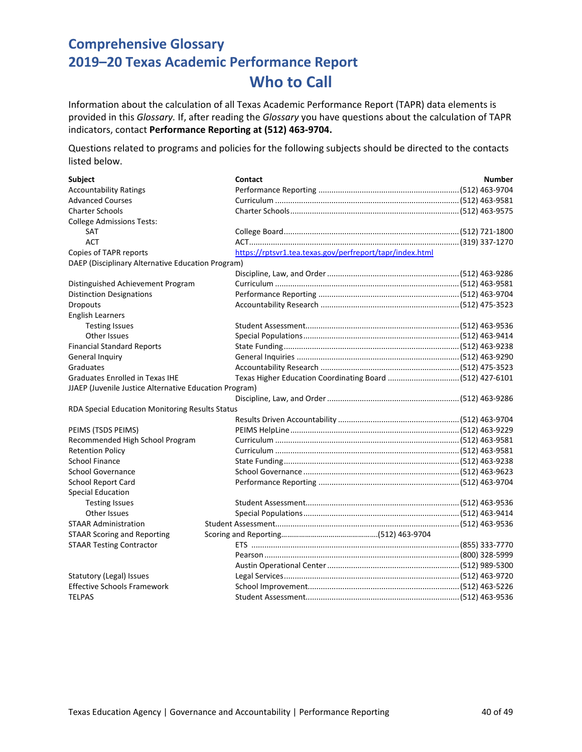Information about the calculation of all Texas Academic Performance Report (TAPR) data elements is provided in this *Glossary.* If, after reading the *Glossary* you have questions about the calculation of TAPR indicators, contact **Performance Reporting at (512) 463-9704.**

Questions related to programs and policies for the following subjects should be directed to the contacts listed below.

| <b>Subject</b>                                         | Contact                                                  | <b>Number</b> |
|--------------------------------------------------------|----------------------------------------------------------|---------------|
| <b>Accountability Ratings</b>                          |                                                          |               |
| <b>Advanced Courses</b>                                |                                                          |               |
| <b>Charter Schools</b>                                 |                                                          |               |
| <b>College Admissions Tests:</b>                       |                                                          |               |
| <b>SAT</b>                                             |                                                          |               |
| <b>ACT</b>                                             |                                                          |               |
| Copies of TAPR reports                                 | https://rptsvr1.tea.texas.gov/perfreport/tapr/index.html |               |
| DAEP (Disciplinary Alternative Education Program)      |                                                          |               |
|                                                        |                                                          |               |
| Distinguished Achievement Program                      |                                                          |               |
| <b>Distinction Designations</b>                        |                                                          |               |
| <b>Dropouts</b>                                        |                                                          |               |
| <b>English Learners</b>                                |                                                          |               |
| <b>Testing Issues</b>                                  |                                                          |               |
| <b>Other Issues</b>                                    |                                                          |               |
| <b>Financial Standard Reports</b>                      |                                                          |               |
| General Inquiry                                        |                                                          |               |
| Graduates                                              |                                                          |               |
| <b>Graduates Enrolled in Texas IHE</b>                 |                                                          |               |
| JJAEP (Juvenile Justice Alternative Education Program) |                                                          |               |
|                                                        |                                                          |               |
| RDA Special Education Monitoring Results Status        |                                                          |               |
|                                                        |                                                          |               |
| PEIMS (TSDS PEIMS)                                     |                                                          |               |
| Recommended High School Program                        |                                                          |               |
| <b>Retention Policy</b>                                |                                                          |               |
| <b>School Finance</b>                                  |                                                          |               |
| <b>School Governance</b>                               |                                                          |               |
| <b>School Report Card</b>                              |                                                          |               |
| <b>Special Education</b>                               |                                                          |               |
| <b>Testing Issues</b>                                  |                                                          |               |
| Other Issues                                           |                                                          |               |
| <b>STAAR Administration</b>                            |                                                          |               |
| <b>STAAR Scoring and Reporting</b>                     |                                                          |               |
| <b>STAAR Testing Contractor</b>                        |                                                          |               |
|                                                        |                                                          |               |
|                                                        |                                                          |               |
| Statutory (Legal) Issues                               |                                                          |               |
| <b>Effective Schools Framework</b>                     |                                                          |               |
| <b>TELPAS</b>                                          |                                                          |               |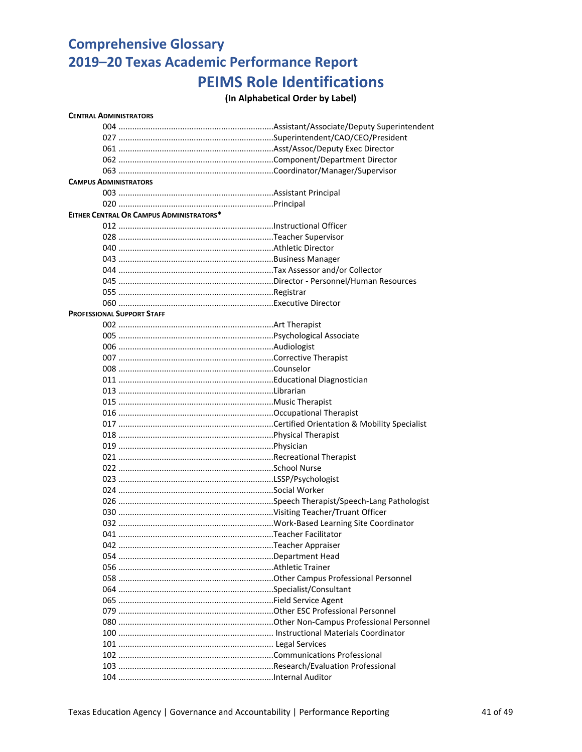# **Comprehensive Glossary 2019–20 Texas Academic Performance Report PEIMS Role Identifications**

### **(In Alphabetical Order by Label)**

| <b>CENTRAL ADMINISTRATORS</b>            |  |
|------------------------------------------|--|
|                                          |  |
|                                          |  |
|                                          |  |
|                                          |  |
|                                          |  |
| <b>CAMPUS ADMINISTRATORS</b>             |  |
|                                          |  |
|                                          |  |
| EITHER CENTRAL OR CAMPUS ADMINISTRATORS* |  |
|                                          |  |
|                                          |  |
|                                          |  |
|                                          |  |
|                                          |  |
|                                          |  |
|                                          |  |
|                                          |  |
| <b>PROFESSIONAL SUPPORT STAFF</b>        |  |
|                                          |  |
|                                          |  |
|                                          |  |
|                                          |  |
|                                          |  |
|                                          |  |
|                                          |  |
|                                          |  |
|                                          |  |
|                                          |  |
|                                          |  |
|                                          |  |
|                                          |  |
|                                          |  |
|                                          |  |
|                                          |  |
|                                          |  |
|                                          |  |
|                                          |  |
|                                          |  |
|                                          |  |
|                                          |  |
|                                          |  |
|                                          |  |
|                                          |  |
|                                          |  |
|                                          |  |
|                                          |  |
|                                          |  |
|                                          |  |
|                                          |  |
|                                          |  |
|                                          |  |
|                                          |  |
|                                          |  |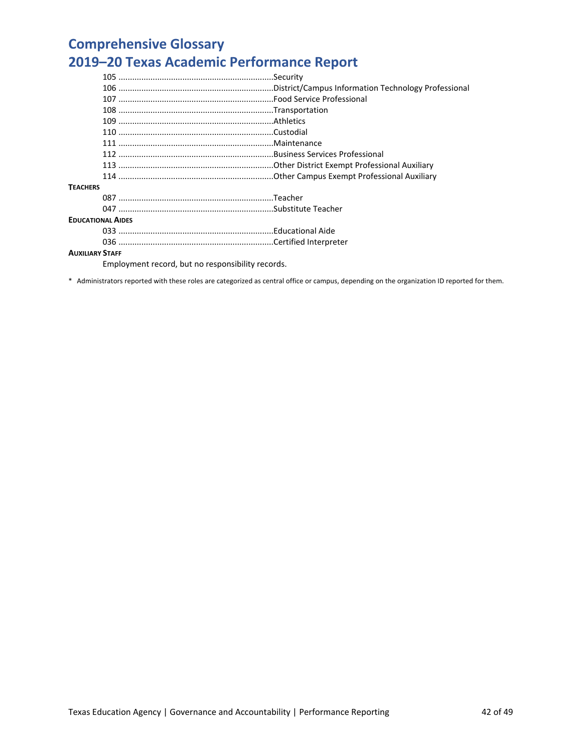| <b>TEACHERS</b>          |  |
|--------------------------|--|
|                          |  |
|                          |  |
| <b>EDUCATIONAL AIDES</b> |  |
|                          |  |
|                          |  |
| <b>AUXILIARY STAFF</b>   |  |

Employment record, but no responsibility records.

\* Administrators reported with these roles are categorized as central office or campus, depending on the organization ID reported for them.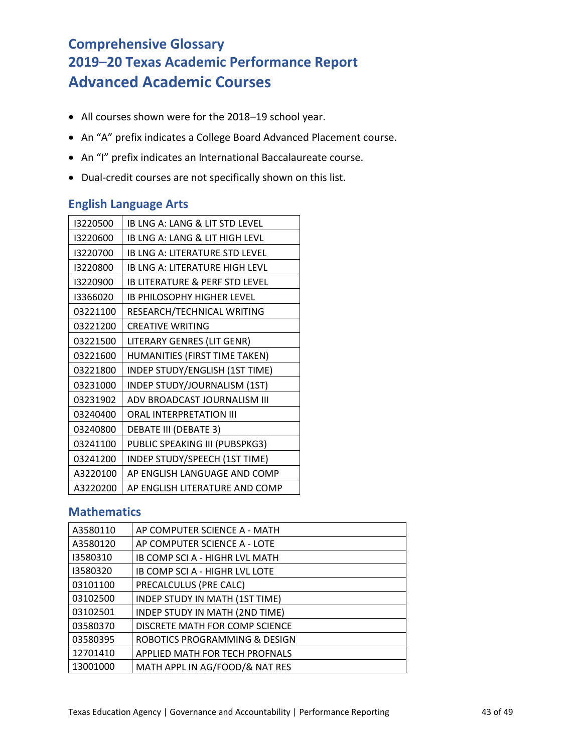# **Comprehensive Glossary 2019–20 Texas Academic Performance Report Advanced Academic Courses**

- All courses shown were for the 2018–19 school year.
- An "A" prefix indicates a College Board Advanced Placement course.
- An "I" prefix indicates an International Baccalaureate course.
- Dual-credit courses are not specifically shown on this list.

### **English Language Arts**

| 13220500 | IB LNG A: LANG & LIT STD LEVEL            |
|----------|-------------------------------------------|
| 13220600 | IB LNG A: LANG & LIT HIGH LEVL            |
| 13220700 | <b>IB LNG A: LITERATURE STD LEVEL</b>     |
| 13220800 | <b>IB LNG A: LITERATURE HIGH LEVL</b>     |
| 13220900 | <b>IB LITERATURE &amp; PERF STD LEVEL</b> |
| 13366020 | <b>IB PHILOSOPHY HIGHER LEVEL</b>         |
| 03221100 | RESEARCH/TECHNICAL WRITING                |
| 03221200 | <b>CREATIVE WRITING</b>                   |
| 03221500 | LITERARY GENRES (LIT GENR)                |
| 03221600 | HUMANITIES (FIRST TIME TAKEN)             |
| 03221800 | INDEP STUDY/ENGLISH (1ST TIME)            |
| 03231000 | INDEP STUDY/JOURNALISM (1ST)              |
| 03231902 | ADV BROADCAST JOURNALISM III              |
| 03240400 | ORAL INTERPRETATION III                   |
| 03240800 | <b>DEBATE III (DEBATE 3)</b>              |
| 03241100 | PUBLIC SPEAKING III (PUBSPKG3)            |
| 03241200 | INDEP STUDY/SPEECH (1ST TIME)             |
| A3220100 | AP ENGLISH LANGUAGE AND COMP              |
| A3220200 | AP ENGLISH LITERATURE AND COMP            |

### **Mathematics**

| A3580110 | AP COMPUTER SCIENCE A - MATH   |
|----------|--------------------------------|
| A3580120 | AP COMPUTER SCIENCE A - LOTE   |
| 13580310 | IB COMP SCI A - HIGHR LVL MATH |
| 13580320 | IB COMP SCI A - HIGHR LVL LOTE |
| 03101100 | PRECALCULUS (PRE CALC)         |
| 03102500 | INDEP STUDY IN MATH (1ST TIME) |
| 03102501 | INDEP STUDY IN MATH (2ND TIME) |
| 03580370 | DISCRETE MATH FOR COMP SCIENCE |
| 03580395 | ROBOTICS PROGRAMMING & DESIGN  |
| 12701410 | APPLIED MATH FOR TECH PROFNALS |
| 13001000 | MATH APPL IN AG/FOOD/& NAT RES |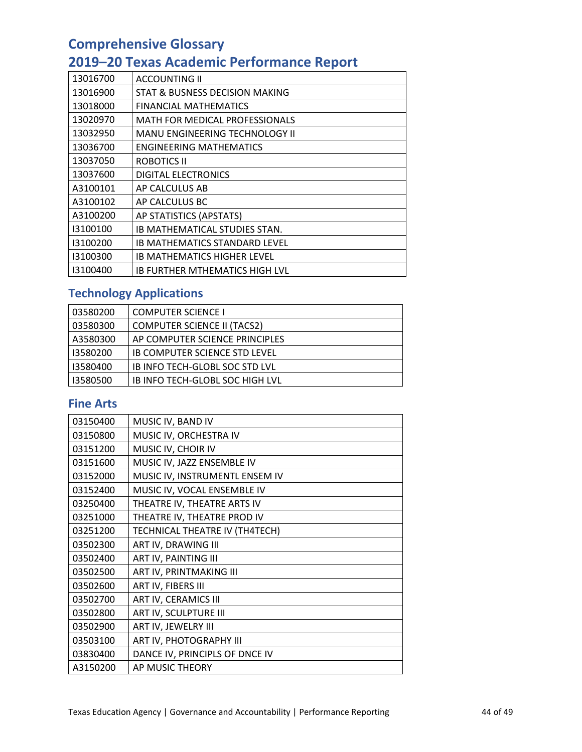# **2019–20 Texas Academic Performance Report**

| 13016700 | <b>ACCOUNTING II</b>                  |
|----------|---------------------------------------|
| 13016900 | STAT & BUSNESS DECISION MAKING        |
| 13018000 | <b>FINANCIAL MATHEMATICS</b>          |
| 13020970 | <b>MATH FOR MEDICAL PROFESSIONALS</b> |
| 13032950 | <b>MANU ENGINEERING TECHNOLOGY II</b> |
| 13036700 | <b>ENGINEERING MATHEMATICS</b>        |
| 13037050 | ROBOTICS II                           |
| 13037600 | <b>DIGITAL ELECTRONICS</b>            |
| A3100101 | AP CALCULUS AB                        |
| A3100102 | AP CALCULUS BC                        |
| A3100200 | AP STATISTICS (APSTATS)               |
| 13100100 | IB MATHEMATICAL STUDIES STAN.         |
| 13100200 | IB MATHEMATICS STANDARD LEVEL         |
| 13100300 | IB MATHEMATICS HIGHER LEVEL           |
| 13100400 | IB FURTHER MTHEMATICS HIGH LVL        |

## **Technology Applications**

| 03580200 | <b>COMPUTER SCIENCE I</b>          |
|----------|------------------------------------|
| 03580300 | <b>COMPUTER SCIENCE II (TACS2)</b> |
| A3580300 | AP COMPUTER SCIENCE PRINCIPLES     |
| 13580200 | IB COMPUTER SCIENCE STD LEVEL      |
| 13580400 | IB INFO TECH-GLOBL SOC STD LVL     |
| 13580500 | IB INFO TECH-GLOBL SOC HIGH LVL    |

### **Fine Arts**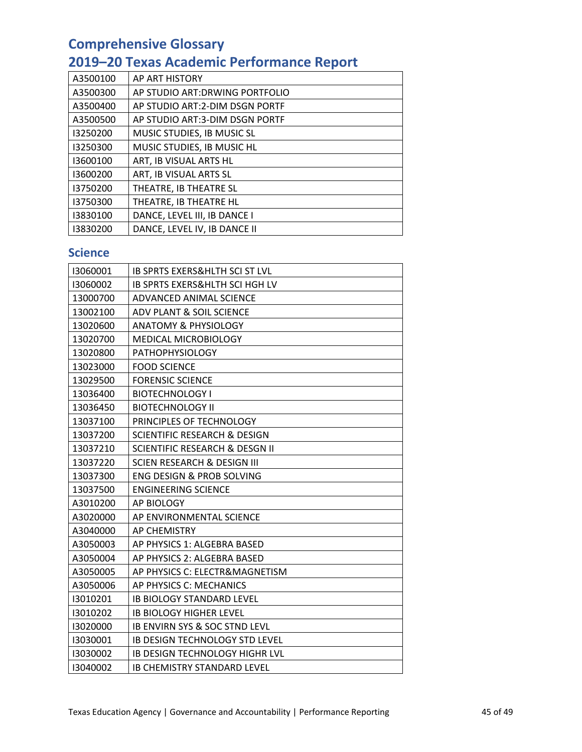# **2019–20 Texas Academic Performance Report**

| A3500100 | AP ART HISTORY                  |
|----------|---------------------------------|
| A3500300 | AP STUDIO ART: DRWING PORTFOLIO |
| A3500400 | AP STUDIO ART: 2-DIM DSGN PORTF |
| A3500500 | AP STUDIO ART:3-DIM DSGN PORTF  |
| 13250200 | MUSIC STUDIES, IB MUSIC SL      |
| 13250300 | MUSIC STUDIES, IB MUSIC HL      |
| 13600100 | ART, IB VISUAL ARTS HL          |
| 13600200 | ART, IB VISUAL ARTS SL          |
| 13750200 | THEATRE, IB THEATRE SL          |
| 13750300 | THEATRE, IB THEATRE HL          |
| 13830100 | DANCE, LEVEL III, IB DANCE I    |
| 13830200 | DANCE, LEVEL IV, IB DANCE II    |

### **Science**

| 13060001 | <b>IB SPRTS EXERS&amp;HLTH SCI ST LVL</b> |
|----------|-------------------------------------------|
| 13060002 | <b>IB SPRTS EXERS&amp;HLTH SCI HGH LV</b> |
| 13000700 | ADVANCED ANIMAL SCIENCE                   |
| 13002100 | ADV PLANT & SOIL SCIENCE                  |
| 13020600 | <b>ANATOMY &amp; PHYSIOLOGY</b>           |
| 13020700 | MEDICAL MICROBIOLOGY                      |
| 13020800 | <b>PATHOPHYSIOLOGY</b>                    |
| 13023000 | <b>FOOD SCIENCE</b>                       |
| 13029500 | <b>FORENSIC SCIENCE</b>                   |
| 13036400 | <b>BIOTECHNOLOGY I</b>                    |
| 13036450 | <b>BIOTECHNOLOGY II</b>                   |
| 13037100 | PRINCIPLES OF TECHNOLOGY                  |
| 13037200 | <b>SCIENTIFIC RESEARCH &amp; DESIGN</b>   |
| 13037210 | <b>SCIENTIFIC RESEARCH &amp; DESGN II</b> |
| 13037220 | SCIEN RESEARCH & DESIGN III               |
| 13037300 | ENG DESIGN & PROB SOLVING                 |
| 13037500 | <b>ENGINEERING SCIENCE</b>                |
| A3010200 | AP BIOLOGY                                |
| A3020000 | AP ENVIRONMENTAL SCIENCE                  |
| A3040000 | AP CHEMISTRY                              |
| A3050003 | AP PHYSICS 1: ALGEBRA BASED               |
| A3050004 | AP PHYSICS 2: ALGEBRA BASED               |
| A3050005 | AP PHYSICS C: ELECTR&MAGNETISM            |
| A3050006 | AP PHYSICS C: MECHANICS                   |
| 13010201 | <b>IB BIOLOGY STANDARD LEVEL</b>          |
| 13010202 | <b>IB BIOLOGY HIGHER LEVEL</b>            |
| 13020000 | <b>IB ENVIRN SYS &amp; SOC STND LEVL</b>  |
| 13030001 | <b>IB DESIGN TECHNOLOGY STD LEVEL</b>     |
| 13030002 | <b>IB DESIGN TECHNOLOGY HIGHR LVL</b>     |
| 13040002 | <b>IB CHEMISTRY STANDARD LEVEL</b>        |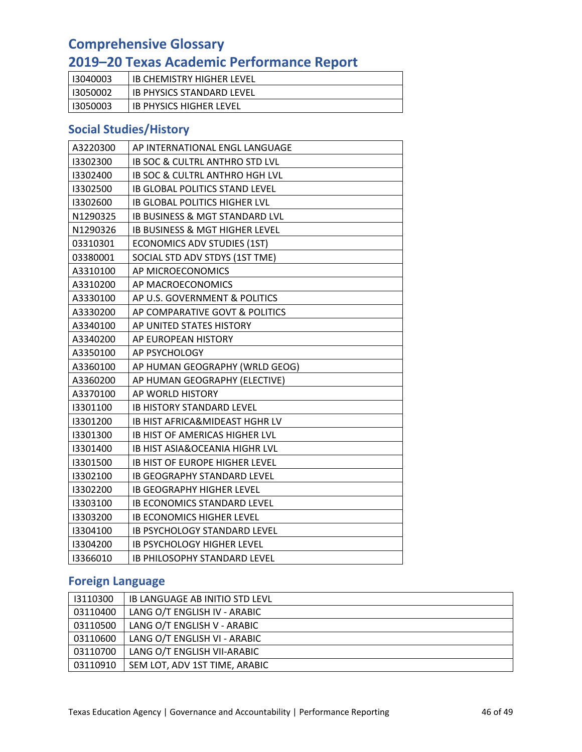# **2019–20 Texas Academic Performance Report**

| I3040003 | <b>IB CHEMISTRY HIGHER LEVEL</b> |
|----------|----------------------------------|
| 13050002 | <b>IB PHYSICS STANDARD LEVEL</b> |
| 13050003 | <b>IB PHYSICS HIGHER LEVEL</b>   |

### **Social Studies/History**

| A3220300 | AP INTERNATIONAL ENGL LANGUAGE            |
|----------|-------------------------------------------|
| 13302300 | <b>IB SOC &amp; CULTRL ANTHRO STD LVL</b> |
| 13302400 | IB SOC & CULTRL ANTHRO HGH LVL            |
| 13302500 | <b>IB GLOBAL POLITICS STAND LEVEL</b>     |
| 13302600 | <b>IB GLOBAL POLITICS HIGHER LVL</b>      |
| N1290325 | <b>IB BUSINESS &amp; MGT STANDARD LVL</b> |
| N1290326 | <b>IB BUSINESS &amp; MGT HIGHER LEVEL</b> |
| 03310301 | <b>ECONOMICS ADV STUDIES (1ST)</b>        |
| 03380001 | SOCIAL STD ADV STDYS (1ST TME)            |
| A3310100 | AP MICROECONOMICS                         |
| A3310200 | AP MACROECONOMICS                         |
| A3330100 | AP U.S. GOVERNMENT & POLITICS             |
| A3330200 | AP COMPARATIVE GOVT & POLITICS            |
| A3340100 | AP UNITED STATES HISTORY                  |
| A3340200 | AP EUROPEAN HISTORY                       |
| A3350100 | AP PSYCHOLOGY                             |
| A3360100 | AP HUMAN GEOGRAPHY (WRLD GEOG)            |
| A3360200 | AP HUMAN GEOGRAPHY (ELECTIVE)             |
| A3370100 | AP WORLD HISTORY                          |
| 13301100 | <b>IB HISTORY STANDARD LEVEL</b>          |
| 13301200 | IB HIST AFRICA&MIDEAST HGHR LV            |
| 13301300 | <b>IB HIST OF AMERICAS HIGHER LVL</b>     |
| 13301400 | <b>IB HIST ASIA&amp;OCEANIA HIGHR LVL</b> |
| 13301500 | <b>IB HIST OF EUROPE HIGHER LEVEL</b>     |
| 13302100 | <b>IB GEOGRAPHY STANDARD LEVEL</b>        |
| 13302200 | <b>IB GEOGRAPHY HIGHER LEVEL</b>          |
| 13303100 | <b>IB ECONOMICS STANDARD LEVEL</b>        |
| 13303200 | <b>IB ECONOMICS HIGHER LEVEL</b>          |
| 13304100 | IB PSYCHOLOGY STANDARD LEVEL              |
| 13304200 | <b>IB PSYCHOLOGY HIGHER LEVEL</b>         |
| 13366010 | <b>IB PHILOSOPHY STANDARD LEVEL</b>       |

### **Foreign Language**

| 13110300 | IB LANGUAGE AB INITIO STD LEVL |  |
|----------|--------------------------------|--|
| 03110400 | LANG O/T ENGLISH IV - ARABIC   |  |
| 03110500 | LANG O/T ENGLISH V - ARABIC    |  |
| 03110600 | LANG O/T ENGLISH VI - ARABIC   |  |
| 03110700 | LANG O/T ENGLISH VII-ARABIC    |  |
| 03110910 | SEM LOT, ADV 1ST TIME, ARABIC  |  |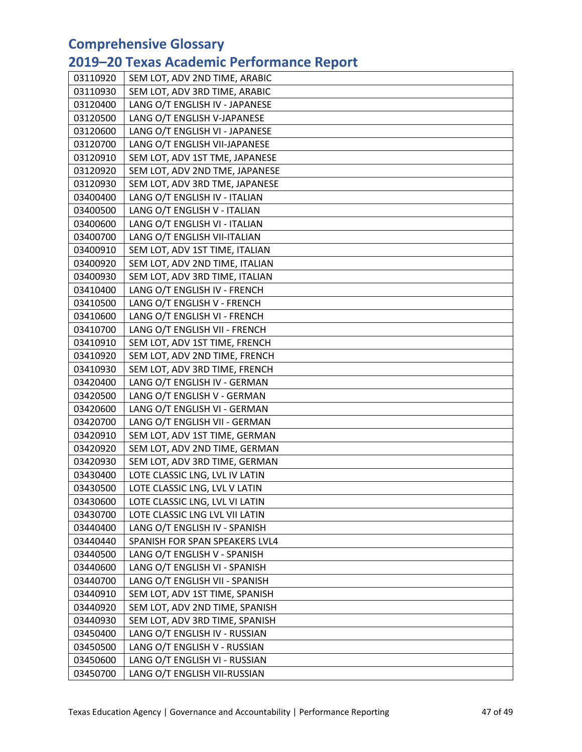# **2019–20 Texas Academic Performance Report**

| 03110920 | SEM LOT, ADV 2ND TIME, ARABIC  |  |
|----------|--------------------------------|--|
| 03110930 | SEM LOT, ADV 3RD TIME, ARABIC  |  |
| 03120400 | LANG O/T ENGLISH IV - JAPANESE |  |
| 03120500 | LANG O/T ENGLISH V-JAPANESE    |  |
| 03120600 | LANG O/T ENGLISH VI - JAPANESE |  |
| 03120700 | LANG O/T ENGLISH VII-JAPANESE  |  |
| 03120910 | SEM LOT, ADV 1ST TME, JAPANESE |  |
| 03120920 | SEM LOT, ADV 2ND TME, JAPANESE |  |
| 03120930 | SEM LOT, ADV 3RD TME, JAPANESE |  |
| 03400400 | LANG O/T ENGLISH IV - ITALIAN  |  |
| 03400500 | LANG O/T ENGLISH V - ITALIAN   |  |
| 03400600 | LANG O/T ENGLISH VI - ITALIAN  |  |
| 03400700 | LANG O/T ENGLISH VII-ITALIAN   |  |
| 03400910 | SEM LOT, ADV 1ST TIME, ITALIAN |  |
| 03400920 | SEM LOT, ADV 2ND TIME, ITALIAN |  |
| 03400930 | SEM LOT, ADV 3RD TIME, ITALIAN |  |
| 03410400 | LANG O/T ENGLISH IV - FRENCH   |  |
| 03410500 | LANG O/T ENGLISH V - FRENCH    |  |
| 03410600 | LANG O/T ENGLISH VI - FRENCH   |  |
| 03410700 | LANG O/T ENGLISH VII - FRENCH  |  |
| 03410910 | SEM LOT, ADV 1ST TIME, FRENCH  |  |
| 03410920 | SEM LOT, ADV 2ND TIME, FRENCH  |  |
| 03410930 | SEM LOT, ADV 3RD TIME, FRENCH  |  |
| 03420400 | LANG O/T ENGLISH IV - GERMAN   |  |
| 03420500 | LANG O/T ENGLISH V - GERMAN    |  |
| 03420600 | LANG O/T ENGLISH VI - GERMAN   |  |
| 03420700 | LANG O/T ENGLISH VII - GERMAN  |  |
| 03420910 | SEM LOT, ADV 1ST TIME, GERMAN  |  |
| 03420920 | SEM LOT, ADV 2ND TIME, GERMAN  |  |
| 03420930 | SEM LOT, ADV 3RD TIME, GERMAN  |  |
| 03430400 | LOTE CLASSIC LNG, LVL IV LATIN |  |
| 03430500 | LOTE CLASSIC LNG, LVL V LATIN  |  |
| 03430600 | LOTE CLASSIC LNG, LVL VI LATIN |  |
| 03430700 | LOTE CLASSIC LNG LVL VII LATIN |  |
| 03440400 | LANG O/T ENGLISH IV - SPANISH  |  |
| 03440440 | SPANISH FOR SPAN SPEAKERS LVL4 |  |
| 03440500 | LANG O/T ENGLISH V - SPANISH   |  |
| 03440600 | LANG O/T ENGLISH VI - SPANISH  |  |
| 03440700 | LANG O/T ENGLISH VII - SPANISH |  |
| 03440910 | SEM LOT, ADV 1ST TIME, SPANISH |  |
| 03440920 | SEM LOT, ADV 2ND TIME, SPANISH |  |
| 03440930 | SEM LOT, ADV 3RD TIME, SPANISH |  |
| 03450400 | LANG O/T ENGLISH IV - RUSSIAN  |  |
| 03450500 | LANG O/T ENGLISH V - RUSSIAN   |  |
| 03450600 | LANG O/T ENGLISH VI - RUSSIAN  |  |
| 03450700 | LANG O/T ENGLISH VII-RUSSIAN   |  |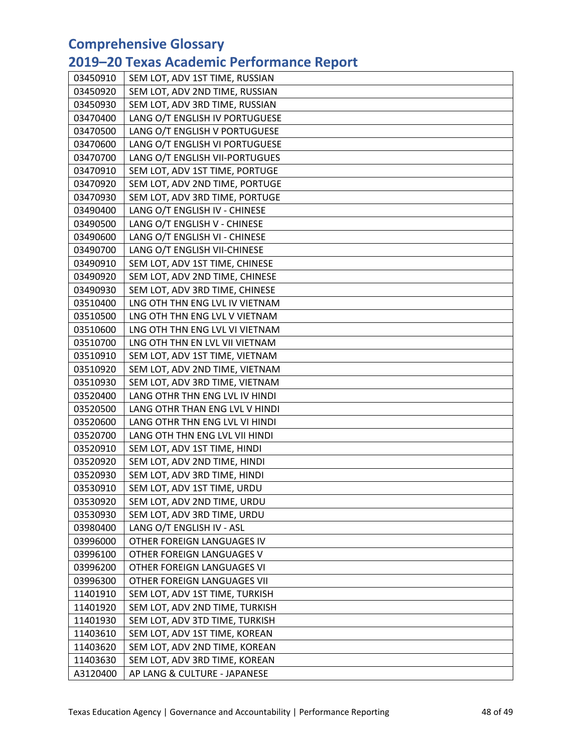# **2019–20 Texas Academic Performance Report**

| 03450910 | SEM LOT, ADV 1ST TIME, RUSSIAN |  |
|----------|--------------------------------|--|
| 03450920 | SEM LOT, ADV 2ND TIME, RUSSIAN |  |
| 03450930 | SEM LOT, ADV 3RD TIME, RUSSIAN |  |
| 03470400 | LANG O/T ENGLISH IV PORTUGUESE |  |
| 03470500 | LANG O/T ENGLISH V PORTUGUESE  |  |
| 03470600 | LANG O/T ENGLISH VI PORTUGUESE |  |
| 03470700 | LANG O/T ENGLISH VII-PORTUGUES |  |
| 03470910 | SEM LOT, ADV 1ST TIME, PORTUGE |  |
| 03470920 | SEM LOT, ADV 2ND TIME, PORTUGE |  |
| 03470930 | SEM LOT, ADV 3RD TIME, PORTUGE |  |
| 03490400 | LANG O/T ENGLISH IV - CHINESE  |  |
| 03490500 | LANG O/T ENGLISH V - CHINESE   |  |
| 03490600 | LANG O/T ENGLISH VI - CHINESE  |  |
| 03490700 | LANG O/T ENGLISH VII-CHINESE   |  |
| 03490910 | SEM LOT, ADV 1ST TIME, CHINESE |  |
| 03490920 | SEM LOT, ADV 2ND TIME, CHINESE |  |
| 03490930 | SEM LOT, ADV 3RD TIME, CHINESE |  |
| 03510400 | LNG OTH THN ENG LVL IV VIETNAM |  |
| 03510500 | LNG OTH THN ENG LVL V VIETNAM  |  |
| 03510600 | LNG OTH THN ENG LVL VI VIETNAM |  |
| 03510700 | LNG OTH THN EN LVL VII VIETNAM |  |
| 03510910 | SEM LOT, ADV 1ST TIME, VIETNAM |  |
| 03510920 | SEM LOT, ADV 2ND TIME, VIETNAM |  |
| 03510930 | SEM LOT, ADV 3RD TIME, VIETNAM |  |
| 03520400 | LANG OTHR THN ENG LVL IV HINDI |  |
| 03520500 | LANG OTHR THAN ENG LVL V HINDI |  |
| 03520600 | LANG OTHR THN ENG LVL VI HINDI |  |
| 03520700 | LANG OTH THN ENG LVL VII HINDI |  |
| 03520910 | SEM LOT, ADV 1ST TIME, HINDI   |  |
| 03520920 | SEM LOT, ADV 2ND TIME, HINDI   |  |
| 03520930 | SEM LOT, ADV 3RD TIME, HINDI   |  |
| 03530910 | SEM LOT, ADV 1ST TIME, URDU    |  |
| 03530920 | SEM LOT, ADV 2ND TIME, URDU    |  |
| 03530930 | SEM LOT, ADV 3RD TIME, URDU    |  |
| 03980400 | LANG O/T ENGLISH IV - ASL      |  |
| 03996000 | OTHER FOREIGN LANGUAGES IV     |  |
| 03996100 | OTHER FOREIGN LANGUAGES V      |  |
| 03996200 | OTHER FOREIGN LANGUAGES VI     |  |
| 03996300 | OTHER FOREIGN LANGUAGES VII    |  |
| 11401910 | SEM LOT, ADV 1ST TIME, TURKISH |  |
| 11401920 | SEM LOT, ADV 2ND TIME, TURKISH |  |
| 11401930 | SEM LOT, ADV 3TD TIME, TURKISH |  |
| 11403610 | SEM LOT, ADV 1ST TIME, KOREAN  |  |
| 11403620 | SEM LOT, ADV 2ND TIME, KOREAN  |  |
| 11403630 | SEM LOT, ADV 3RD TIME, KOREAN  |  |
| A3120400 | AP LANG & CULTURE - JAPANESE   |  |